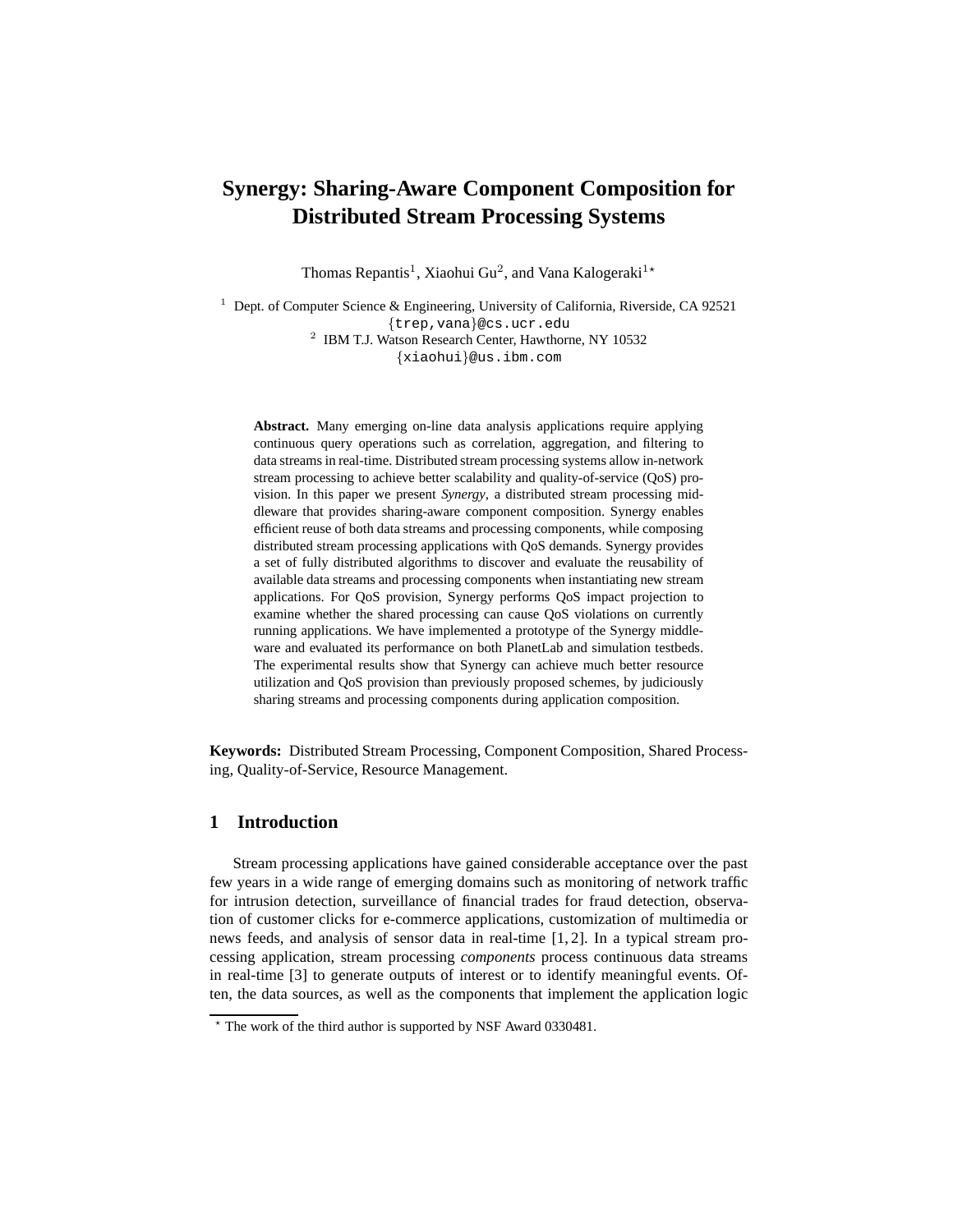# **Synergy: Sharing-Aware Component Composition for Distributed Stream Processing Systems**

Thomas Repantis<sup>1</sup>, Xiaohui Gu<sup>2</sup>, and Vana Kalogeraki<sup>1\*</sup>

<sup>1</sup> Dept. of Computer Science & Engineering, University of California, Riverside, CA 92521 {trep,vana}@cs.ucr.edu <sup>2</sup> IBM T.J. Watson Research Center, Hawthorne, NY 10532 {xiaohui}@us.ibm.com

**Abstract.** Many emerging on-line data analysis applications require applying continuous query operations such as correlation, aggregation, and filtering to data streams in real-time. Distributed stream processing systems allow in-network stream processing to achieve better scalability and quality-of-service (QoS) provision. In this paper we present *Synergy*, a distributed stream processing middleware that provides sharing-aware component composition. Synergy enables efficient reuse of both data streams and processing components, while composing distributed stream processing applications with QoS demands. Synergy provides a set of fully distributed algorithms to discover and evaluate the reusability of available data streams and processing components when instantiating new stream applications. For QoS provision, Synergy performs QoS impact projection to examine whether the shared processing can cause QoS violations on currently running applications. We have implemented a prototype of the Synergy middleware and evaluated its performance on both PlanetLab and simulation testbeds. The experimental results show that Synergy can achieve much better resource utilization and QoS provision than previously proposed schemes, by judiciously sharing streams and processing components during application composition.

**Keywords:** Distributed Stream Processing, Component Composition, Shared Processing, Quality-of-Service, Resource Management.

# **1 Introduction**

Stream processing applications have gained considerable acceptance over the past few years in a wide range of emerging domains such as monitoring of network traffic for intrusion detection, surveillance of financial trades for fraud detection, observation of customer clicks for e-commerce applications, customization of multimedia or news feeds, and analysis of sensor data in real-time [1, 2]. In a typical stream processing application, stream processing *components* process continuous data streams in real-time [3] to generate outputs of interest or to identify meaningful events. Often, the data sources, as well as the components that implement the application logic

<sup>⋆</sup> The work of the third author is supported by NSF Award 0330481.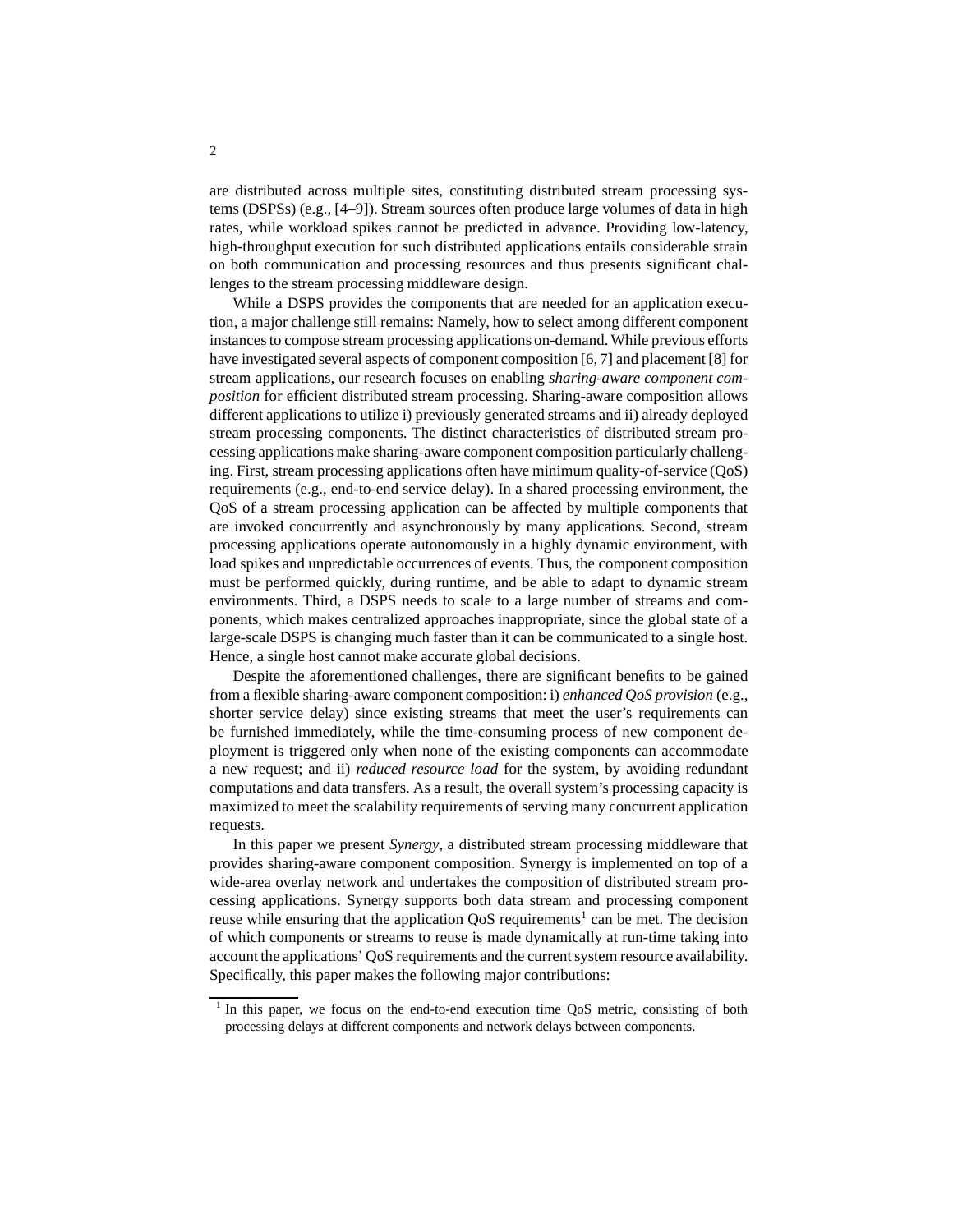are distributed across multiple sites, constituting distributed stream processing systems (DSPSs) (e.g., [4–9]). Stream sources often produce large volumes of data in high rates, while workload spikes cannot be predicted in advance. Providing low-latency, high-throughput execution for such distributed applications entails considerable strain on both communication and processing resources and thus presents significant challenges to the stream processing middleware design.

While a DSPS provides the components that are needed for an application execution, a major challenge still remains: Namely, how to select among different component instances to compose stream processing applications on-demand. While previous efforts have investigated several aspects of component composition [6, 7] and placement [8] for stream applications, our research focuses on enabling *sharing-aware component composition* for efficient distributed stream processing. Sharing-aware composition allows different applications to utilize i) previously generated streams and ii) already deployed stream processing components. The distinct characteristics of distributed stream processing applications make sharing-aware component composition particularly challenging. First, stream processing applications often have minimum quality-of-service (QoS) requirements (e.g., end-to-end service delay). In a shared processing environment, the QoS of a stream processing application can be affected by multiple components that are invoked concurrently and asynchronously by many applications. Second, stream processing applications operate autonomously in a highly dynamic environment, with load spikes and unpredictable occurrences of events. Thus, the component composition must be performed quickly, during runtime, and be able to adapt to dynamic stream environments. Third, a DSPS needs to scale to a large number of streams and components, which makes centralized approaches inappropriate, since the global state of a large-scale DSPS is changing much faster than it can be communicated to a single host. Hence, a single host cannot make accurate global decisions.

Despite the aforementioned challenges, there are significant benefits to be gained from a flexible sharing-aware component composition: i) *enhanced QoS provision* (e.g., shorter service delay) since existing streams that meet the user's requirements can be furnished immediately, while the time-consuming process of new component deployment is triggered only when none of the existing components can accommodate a new request; and ii) *reduced resource load* for the system, by avoiding redundant computations and data transfers. As a result, the overall system's processing capacity is maximized to meet the scalability requirements of serving many concurrent application requests.

In this paper we present *Synergy*, a distributed stream processing middleware that provides sharing-aware component composition. Synergy is implemented on top of a wide-area overlay network and undertakes the composition of distributed stream processing applications. Synergy supports both data stream and processing component reuse while ensuring that the application QoS requirements<sup>1</sup> can be met. The decision of which components or streams to reuse is made dynamically at run-time taking into account the applications' QoS requirements and the currentsystem resource availability. Specifically, this paper makes the following major contributions:

 $1$  In this paper, we focus on the end-to-end execution time QoS metric, consisting of both processing delays at different components and network delays between components.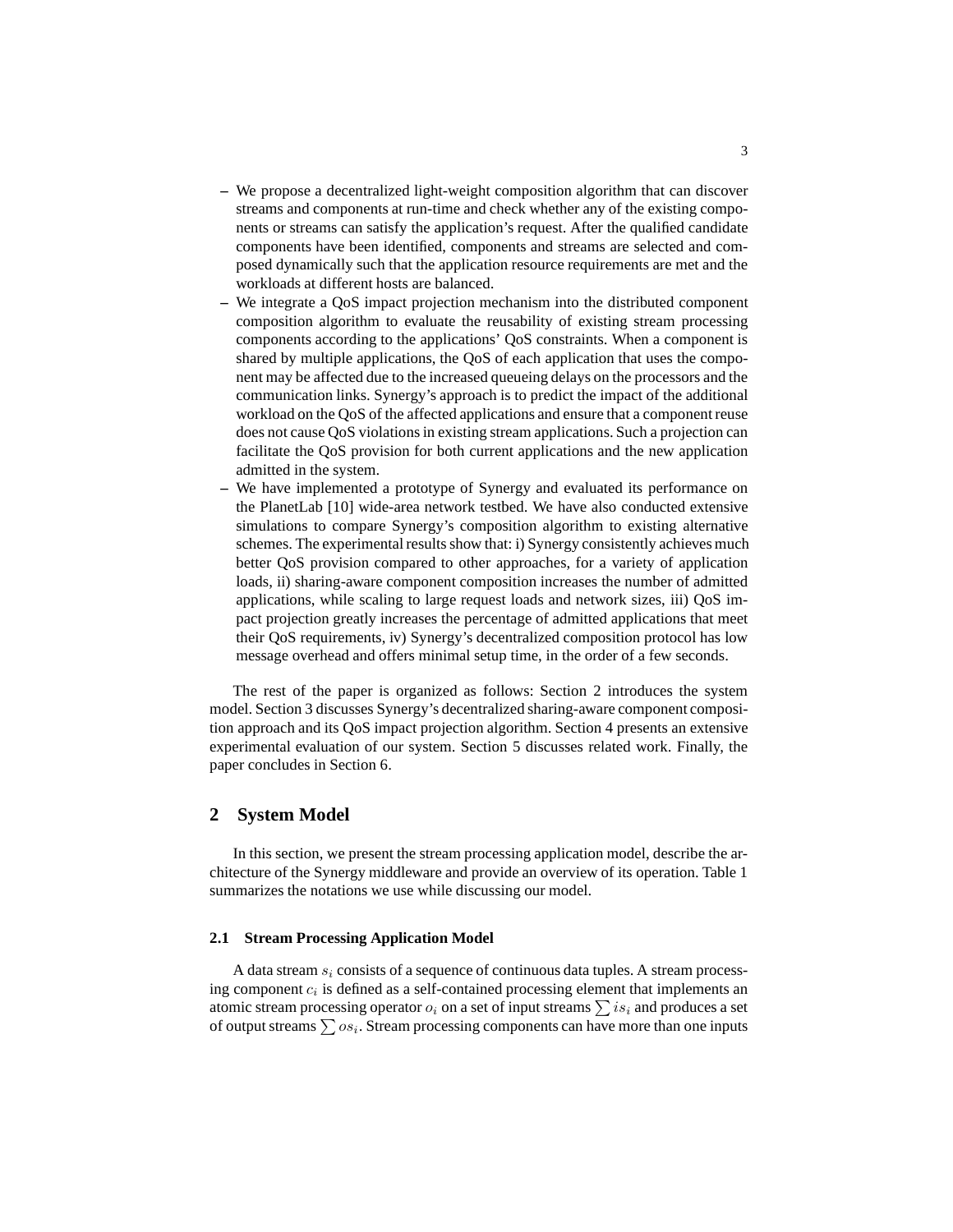- **–** We propose a decentralized light-weight composition algorithm that can discover streams and components at run-time and check whether any of the existing components or streams can satisfy the application's request. After the qualified candidate components have been identified, components and streams are selected and composed dynamically such that the application resource requirements are met and the workloads at different hosts are balanced.
- **–** We integrate a QoS impact projection mechanism into the distributed component composition algorithm to evaluate the reusability of existing stream processing components according to the applications' QoS constraints. When a component is shared by multiple applications, the QoS of each application that uses the component may be affected due to the increased queueing delays on the processors and the communication links. Synergy's approach is to predict the impact of the additional workload on the QoS of the affected applications and ensure that a component reuse does not cause QoS violations in existing stream applications. Such a projection can facilitate the QoS provision for both current applications and the new application admitted in the system.
- **–** We have implemented a prototype of Synergy and evaluated its performance on the PlanetLab [10] wide-area network testbed. We have also conducted extensive simulations to compare Synergy's composition algorithm to existing alternative schemes. The experimental results show that: i) Synergy consistently achieves much better QoS provision compared to other approaches, for a variety of application loads, ii) sharing-aware component composition increases the number of admitted applications, while scaling to large request loads and network sizes, iii) QoS impact projection greatly increases the percentage of admitted applications that meet their QoS requirements, iv) Synergy's decentralized composition protocol has low message overhead and offers minimal setup time, in the order of a few seconds.

The rest of the paper is organized as follows: Section 2 introduces the system model. Section 3 discusses Synergy's decentralized sharing-aware component composition approach and its QoS impact projection algorithm. Section 4 presents an extensive experimental evaluation of our system. Section 5 discusses related work. Finally, the paper concludes in Section 6.

# **2 System Model**

In this section, we present the stream processing application model, describe the architecture of the Synergy middleware and provide an overview of its operation. Table 1 summarizes the notations we use while discussing our model.

## **2.1 Stream Processing Application Model**

A data stream  $s_i$  consists of a sequence of continuous data tuples. A stream processing component  $c_i$  is defined as a self-contained processing element that implements an atomic stream processing operator  $o_i$  on a set of input streams  $\sum i s_i$  and produces a set of output streams  $\sum os_i$ . Stream processing components can have more than one inputs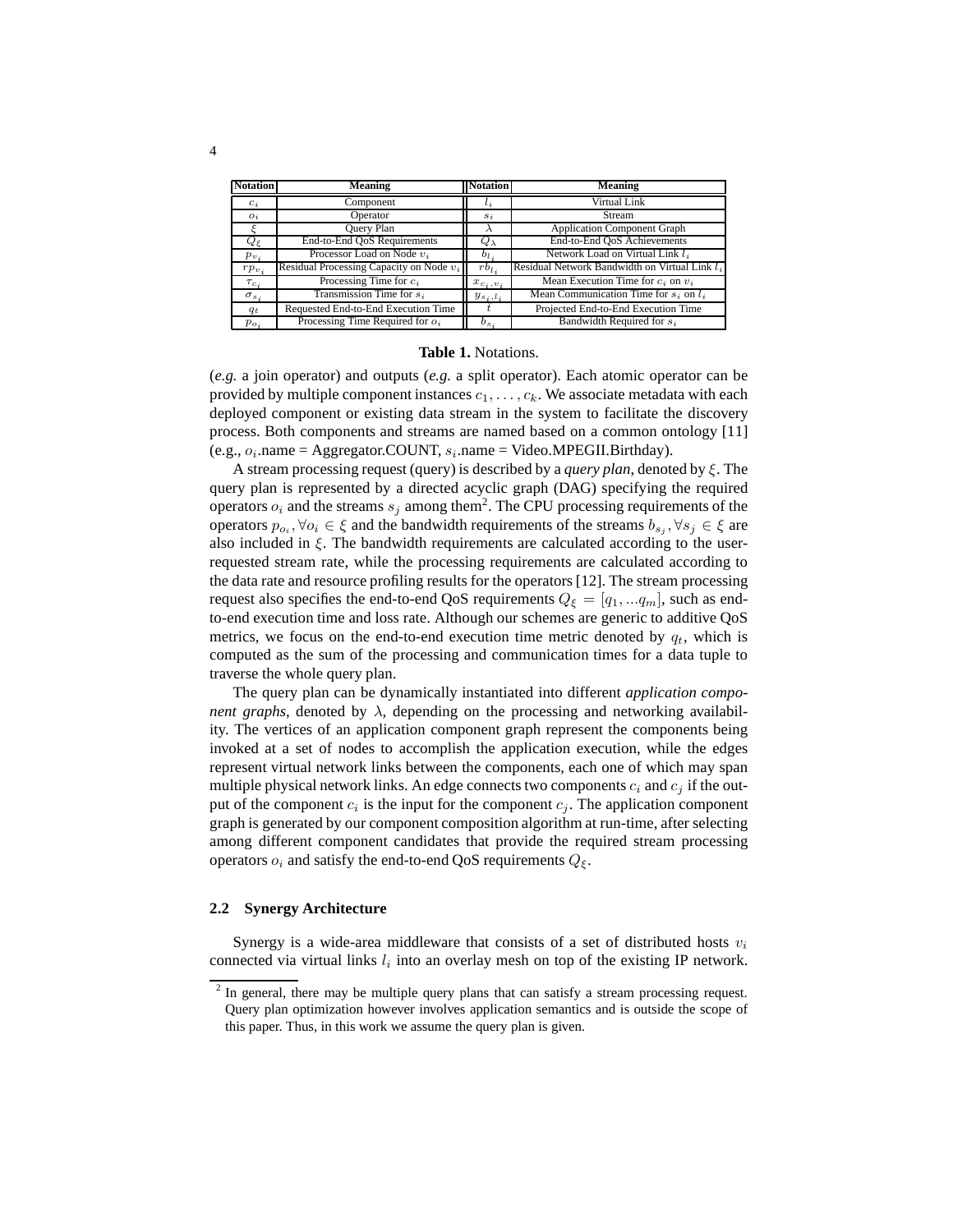| <b>Notation</b>   | <b>Meaning</b>                             | <b>Notation</b> | <b>Meaning</b>                                   |  |
|-------------------|--------------------------------------------|-----------------|--------------------------------------------------|--|
| $c_i$             | Component                                  | $l_i$           | Virtual Link                                     |  |
| $O_i$             | Operator                                   | $s_i$           | Stream                                           |  |
|                   | <b>Ouery Plan</b>                          |                 | <b>Application Component Graph</b>               |  |
| $Q_{\mathcal{E}}$ | End-to-End OoS Requirements                | $Q_{\lambda}$   | End-to-End OoS Achievements                      |  |
| $p_{v_i}$         | Processor Load on Node $v_i$               | $b_l$           | Network Load on Virtual Link $l_i$               |  |
| $rp_{v_i}$        | Residual Processing Capacity on Node $v_i$ | $rb_{l}$        | Residual Network Bandwidth on Virtual Link $l_i$ |  |
| $\tau_{c_i}$      | Processing Time for $c_i$                  | $x_{c_i, v_i}$  | Mean Execution Time for $c_i$ on $v_i$           |  |
| $\sigma_{s_i}$    | Transmission Time for $s_i$                | $y_{s_i, l_i}$  | Mean Communication Time for $s_i$ on $l_i$       |  |
| $q_t$             | Requested End-to-End Execution Time        |                 | Projected End-to-End Execution Time              |  |
| $p_{o_i}$         | Processing Time Required for $o_i$         | $b_{s}$         | Bandwidth Required for $s_i$                     |  |

#### **Table 1.** Notations.

(*e.g.* a join operator) and outputs (*e.g.* a split operator). Each atomic operator can be provided by multiple component instances  $c_1, \ldots, c_k$ . We associate metadata with each deployed component or existing data stream in the system to facilitate the discovery process. Both components and streams are named based on a common ontology [11] (e.g.,  $o_i$ .name = Aggregator.COUNT,  $s_i$ .name = Video.MPEGII.Birthday).

A stream processing request (query) is described by a *query plan*, denoted by ξ. The query plan is represented by a directed acyclic graph (DAG) specifying the required operators  $o_i$  and the streams  $s_j$  among them<sup>2</sup>. The CPU processing requirements of the operators  $p_{o_i}, \forall o_i \in \xi$  and the bandwidth requirements of the streams  $b_{s_j}, \forall s_j \in \xi$  are also included in  $\xi$ . The bandwidth requirements are calculated according to the userrequested stream rate, while the processing requirements are calculated according to the data rate and resource profiling results for the operators [12]. The stream processing request also specifies the end-to-end QoS requirements  $Q_{\xi} = [q_1, \dots q_m]$ , such as endto-end execution time and loss rate. Although our schemes are generic to additive QoS metrics, we focus on the end-to-end execution time metric denoted by  $q_t$ , which is computed as the sum of the processing and communication times for a data tuple to traverse the whole query plan.

The query plan can be dynamically instantiated into different *application component graphs*, denoted by  $\lambda$ , depending on the processing and networking availability. The vertices of an application component graph represent the components being invoked at a set of nodes to accomplish the application execution, while the edges represent virtual network links between the components, each one of which may span multiple physical network links. An edge connects two components  $c_i$  and  $c_j$  if the output of the component  $c_i$  is the input for the component  $c_j$ . The application component graph is generated by our component composition algorithm at run-time, after selecting among different component candidates that provide the required stream processing operators  $o_i$  and satisfy the end-to-end QoS requirements  $Q_\xi$ .

## **2.2 Synergy Architecture**

Synergy is a wide-area middleware that consists of a set of distributed hosts  $v_i$ connected via virtual links  $l_i$  into an overlay mesh on top of the existing IP network.

 $2$  In general, there may be multiple query plans that can satisfy a stream processing request. Query plan optimization however involves application semantics and is outside the scope of this paper. Thus, in this work we assume the query plan is given.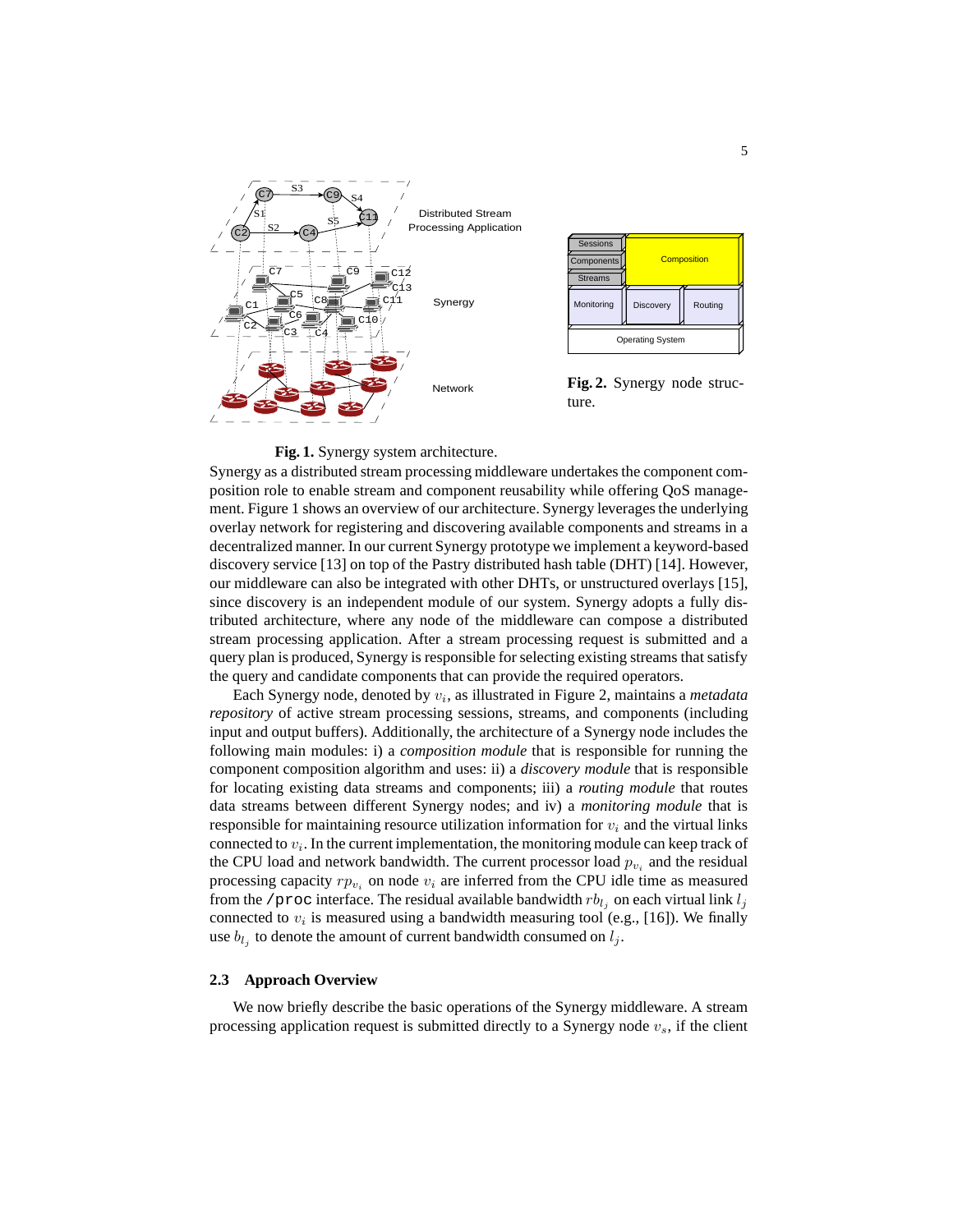



**Fig. 2.** Synergy node structure.

**Fig. 1.** Synergy system architecture.

Synergy as a distributed stream processing middleware undertakes the component composition role to enable stream and component reusability while offering QoS management. Figure 1 shows an overview of our architecture. Synergy leverages the underlying overlay network for registering and discovering available components and streams in a decentralized manner. In our current Synergy prototype we implement a keyword-based discovery service [13] on top of the Pastry distributed hash table (DHT) [14]. However, our middleware can also be integrated with other DHTs, or unstructured overlays [15], since discovery is an independent module of our system. Synergy adopts a fully distributed architecture, where any node of the middleware can compose a distributed stream processing application. After a stream processing request is submitted and a query plan is produced, Synergy is responsible for selecting existing streams that satisfy the query and candidate components that can provide the required operators.

Each Synergy node, denoted by  $v_i$ , as illustrated in Figure 2, maintains a *metadata repository* of active stream processing sessions, streams, and components (including input and output buffers). Additionally, the architecture of a Synergy node includes the following main modules: i) a *composition module* that is responsible for running the component composition algorithm and uses: ii) a *discovery module* that is responsible for locating existing data streams and components; iii) a *routing module* that routes data streams between different Synergy nodes; and iv) a *monitoring module* that is responsible for maintaining resource utilization information for  $v_i$  and the virtual links connected to  $v_i$ . In the current implementation, the monitoring module can keep track of the CPU load and network bandwidth. The current processor load  $p_{v_i}$  and the residual processing capacity  $rp_{v_i}$  on node  $v_i$  are inferred from the CPU idle time as measured from the /proc interface. The residual available bandwidth  $rb_{l_i}$  on each virtual link  $l_i$ connected to  $v_i$  is measured using a bandwidth measuring tool (e.g., [16]). We finally use  $b_{l_j}$  to denote the amount of current bandwidth consumed on  $l_j$ .

#### **2.3 Approach Overview**

We now briefly describe the basic operations of the Synergy middleware. A stream processing application request is submitted directly to a Synergy node  $v_s$ , if the client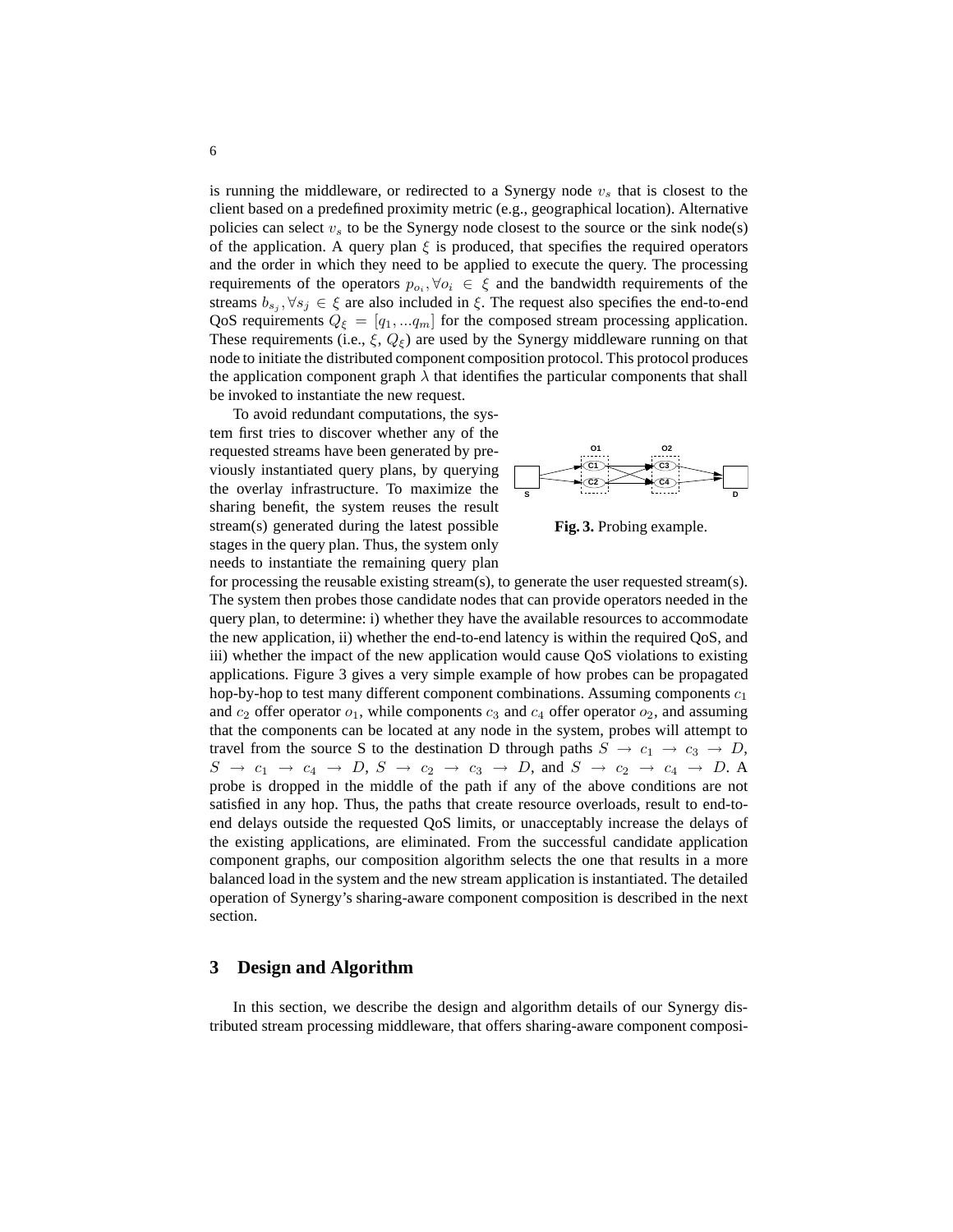is running the middleware, or redirected to a Synergy node  $v<sub>s</sub>$  that is closest to the client based on a predefined proximity metric (e.g., geographical location). Alternative policies can select  $v<sub>s</sub>$  to be the Synergy node closest to the source or the sink node(s) of the application. A query plan  $\xi$  is produced, that specifies the required operators and the order in which they need to be applied to execute the query. The processing requirements of the operators  $p_{o_i}, \forall o_i \in \xi$  and the bandwidth requirements of the streams  $b_{s_j}, \forall s_j \in \xi$  are also included in  $\xi$ . The request also specifies the end-to-end QoS requirements  $Q_{\xi} = [q_1, ... q_m]$  for the composed stream processing application. These requirements (i.e.,  $\xi$ ,  $Q_{\xi}$ ) are used by the Synergy middleware running on that node to initiate the distributed component composition protocol. This protocol produces the application component graph  $\lambda$  that identifies the particular components that shall be invoked to instantiate the new request.

To avoid redundant computations, the system first tries to discover whether any of the requested streams have been generated by previously instantiated query plans, by querying the overlay infrastructure. To maximize the sharing benefit, the system reuses the result stream(s) generated during the latest possible stages in the query plan. Thus, the system only needs to instantiate the remaining query plan



**Fig. 3.** Probing example.

for processing the reusable existing stream(s), to generate the user requested stream(s). The system then probes those candidate nodes that can provide operators needed in the query plan, to determine: i) whether they have the available resources to accommodate the new application, ii) whether the end-to-end latency is within the required QoS, and iii) whether the impact of the new application would cause QoS violations to existing applications. Figure 3 gives a very simple example of how probes can be propagated hop-by-hop to test many different component combinations. Assuming components  $c_1$ and  $c_2$  offer operator  $o_1$ , while components  $c_3$  and  $c_4$  offer operator  $o_2$ , and assuming that the components can be located at any node in the system, probes will attempt to travel from the source S to the destination D through paths  $S \rightarrow c_1 \rightarrow c_3 \rightarrow D$ ,  $S \rightarrow c_1 \rightarrow c_4 \rightarrow D$ ,  $S \rightarrow c_2 \rightarrow c_3 \rightarrow D$ , and  $S \rightarrow c_2 \rightarrow c_4 \rightarrow D$ . A probe is dropped in the middle of the path if any of the above conditions are not satisfied in any hop. Thus, the paths that create resource overloads, result to end-toend delays outside the requested QoS limits, or unacceptably increase the delays of the existing applications, are eliminated. From the successful candidate application component graphs, our composition algorithm selects the one that results in a more balanced load in the system and the new stream application is instantiated. The detailed operation of Synergy's sharing-aware component composition is described in the next section.

# **3 Design and Algorithm**

In this section, we describe the design and algorithm details of our Synergy distributed stream processing middleware, that offers sharing-aware component composi-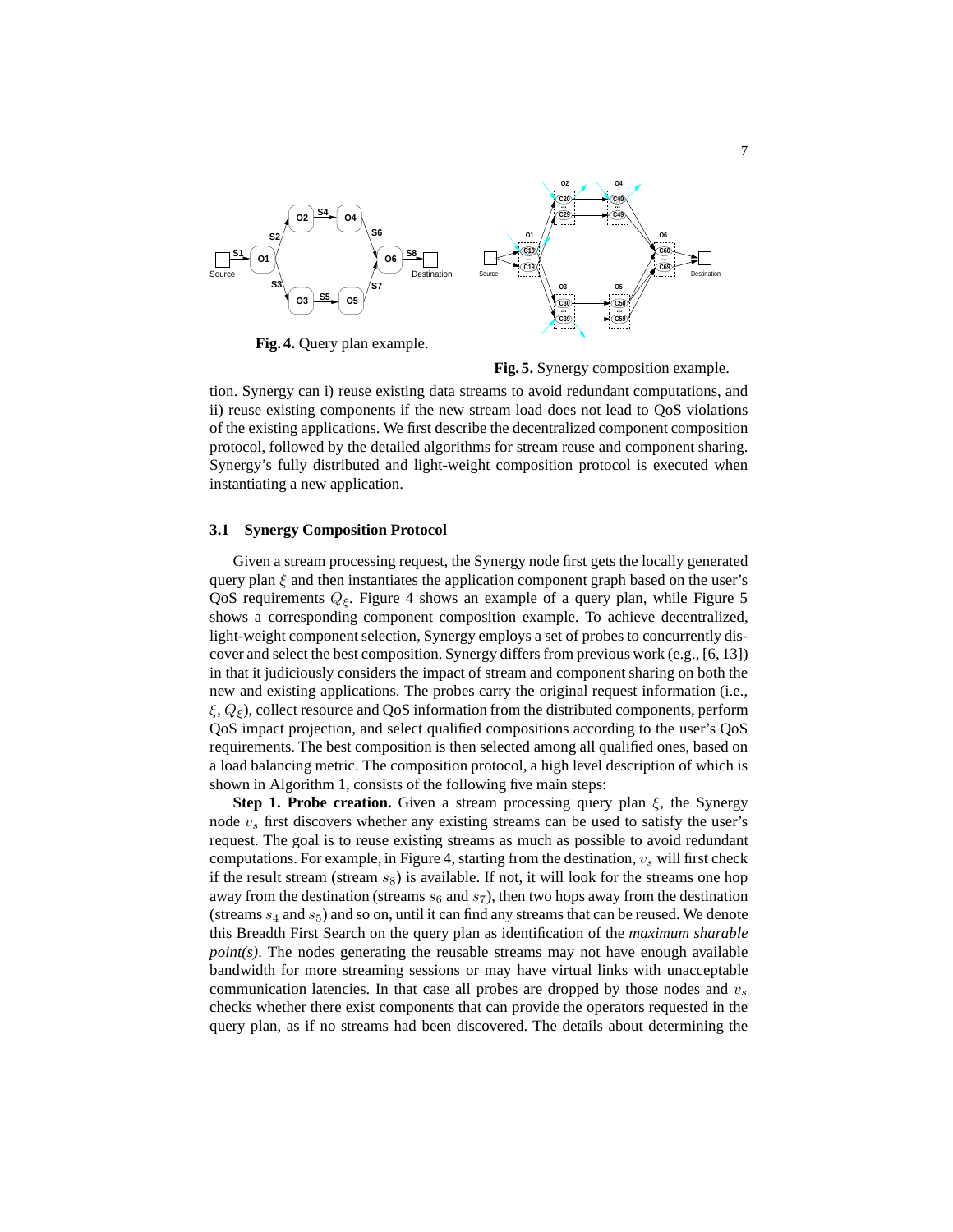

**Fig. 4.** Query plan example.

**Fig. 5.** Synergy composition example.

tion. Synergy can i) reuse existing data streams to avoid redundant computations, and ii) reuse existing components if the new stream load does not lead to QoS violations of the existing applications. We first describe the decentralized component composition protocol, followed by the detailed algorithms for stream reuse and component sharing. Synergy's fully distributed and light-weight composition protocol is executed when instantiating a new application.

#### **3.1 Synergy Composition Protocol**

Given a stream processing request, the Synergy node first gets the locally generated query plan  $\xi$  and then instantiates the application component graph based on the user's QoS requirements  $Q_{\xi}$ . Figure 4 shows an example of a query plan, while Figure 5 shows a corresponding component composition example. To achieve decentralized, light-weight component selection, Synergy employs a set of probes to concurrently discover and select the best composition. Synergy differs from previous work (e.g., [6, 13]) in that it judiciously considers the impact of stream and component sharing on both the new and existing applications. The probes carry the original request information (i.e.,  $\xi, Q_{\xi}$ , collect resource and QoS information from the distributed components, perform QoS impact projection, and select qualified compositions according to the user's QoS requirements. The best composition is then selected among all qualified ones, based on a load balancing metric. The composition protocol, a high level description of which is shown in Algorithm 1, consists of the following five main steps:

**Step 1. Probe creation.** Given a stream processing query plan  $\xi$ , the Synergy node  $v_s$  first discovers whether any existing streams can be used to satisfy the user's request. The goal is to reuse existing streams as much as possible to avoid redundant computations. For example, in Figure 4, starting from the destination,  $v_s$  will first check if the result stream (stream  $s_8$ ) is available. If not, it will look for the streams one hop away from the destination (streams  $s_6$  and  $s_7$ ), then two hops away from the destination (streams  $s_4$  and  $s_5$ ) and so on, until it can find any streams that can be reused. We denote this Breadth First Search on the query plan as identification of the *maximum sharable point(s)*. The nodes generating the reusable streams may not have enough available bandwidth for more streaming sessions or may have virtual links with unacceptable communication latencies. In that case all probes are dropped by those nodes and  $v<sub>s</sub>$ checks whether there exist components that can provide the operators requested in the query plan, as if no streams had been discovered. The details about determining the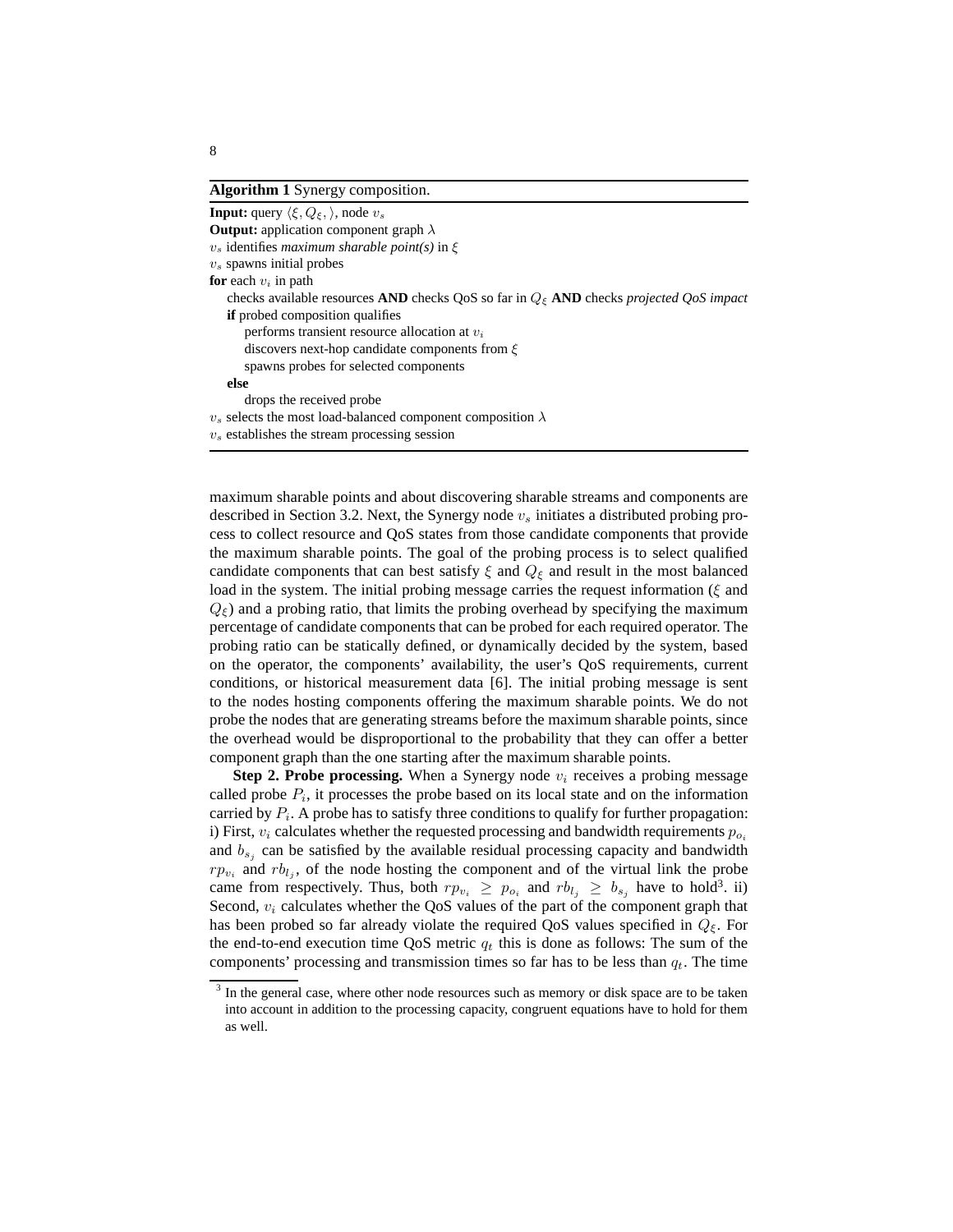#### **Algorithm 1** Synergy composition.

| <b>Input:</b> query $\langle \xi, Q_{\xi}, \rangle$ , node $v_s$                                          |
|-----------------------------------------------------------------------------------------------------------|
| <b>Output:</b> application component graph $\lambda$                                                      |
| $v_s$ identifies <i>maximum sharable point(s)</i> in $\xi$                                                |
| $v_s$ spawns initial probes                                                                               |
| for each $v_i$ in path                                                                                    |
| checks available resources AND checks QoS so far in $Q_{\epsilon}$ AND checks <i>projected QoS impact</i> |
| <b>if</b> probed composition qualifies                                                                    |
| performs transient resource allocation at $v_i$                                                           |
| discovers next-hop candidate components from $\xi$                                                        |
| spawns probes for selected components                                                                     |
| else                                                                                                      |
| drops the received probe                                                                                  |
| $v_s$ selects the most load-balanced component composition $\lambda$                                      |
| $vs$ establishes the stream processing session                                                            |
|                                                                                                           |

maximum sharable points and about discovering sharable streams and components are described in Section 3.2. Next, the Synergy node  $v<sub>s</sub>$  initiates a distributed probing process to collect resource and QoS states from those candidate components that provide the maximum sharable points. The goal of the probing process is to select qualified candidate components that can best satisfy  $\xi$  and  $Q_{\xi}$  and result in the most balanced load in the system. The initial probing message carries the request information ( $\xi$  and  $Q_{\xi}$ ) and a probing ratio, that limits the probing overhead by specifying the maximum percentage of candidate components that can be probed for each required operator. The probing ratio can be statically defined, or dynamically decided by the system, based on the operator, the components' availability, the user's QoS requirements, current conditions, or historical measurement data [6]. The initial probing message is sent to the nodes hosting components offering the maximum sharable points. We do not probe the nodes that are generating streams before the maximum sharable points, since the overhead would be disproportional to the probability that they can offer a better component graph than the one starting after the maximum sharable points.

**Step 2. Probe processing.** When a Synergy node  $v_i$  receives a probing message called probe  $P_i$ , it processes the probe based on its local state and on the information carried by  $P_i$ . A probe has to satisfy three conditions to qualify for further propagation: i) First,  $v_i$  calculates whether the requested processing and bandwidth requirements  $p_o$ . and  $b_{s_j}$  can be satisfied by the available residual processing capacity and bandwidth  $rp_{v_i}$  and  $rb_{l_i}$ , of the node hosting the component and of the virtual link the probe came from respectively. Thus, both  $rp_{v_i} \geq p_{o_i}$  and  $rb_{l_j} \geq b_{s_j}$  have to hold<sup>3</sup>. ii) Second,  $v_i$  calculates whether the QoS values of the part of the component graph that has been probed so far already violate the required QoS values specified in  $Q_{\xi}$ . For the end-to-end execution time QoS metric  $q_t$  this is done as follows: The sum of the components' processing and transmission times so far has to be less than  $q_t$ . The time

 $3$  In the general case, where other node resources such as memory or disk space are to be taken into account in addition to the processing capacity, congruent equations have to hold for them as well.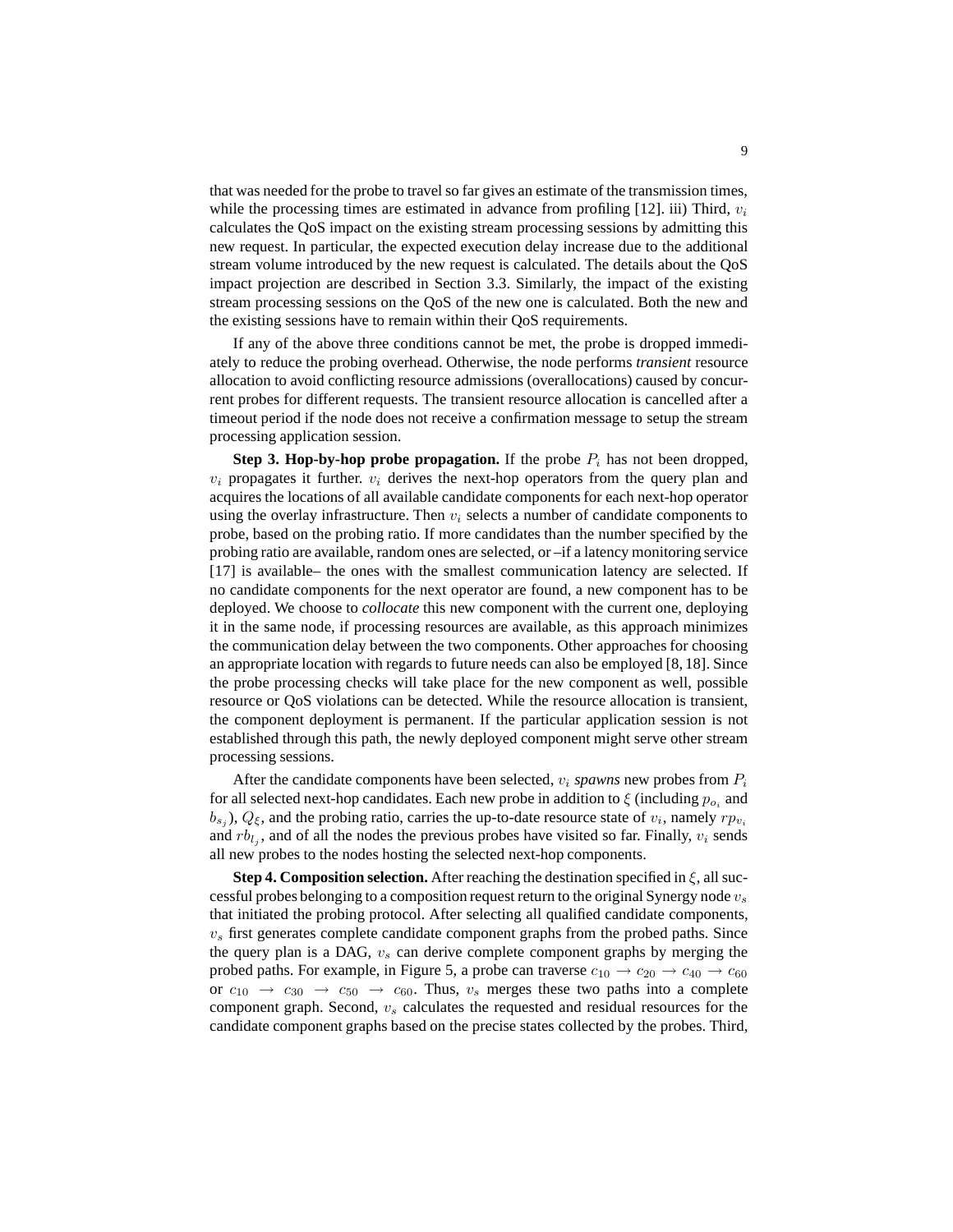that was needed for the probe to travel so far gives an estimate of the transmission times, while the processing times are estimated in advance from profiling  $[12]$ . iii) Third,  $v_i$ calculates the QoS impact on the existing stream processing sessions by admitting this new request. In particular, the expected execution delay increase due to the additional stream volume introduced by the new request is calculated. The details about the QoS impact projection are described in Section 3.3. Similarly, the impact of the existing stream processing sessions on the QoS of the new one is calculated. Both the new and the existing sessions have to remain within their QoS requirements.

If any of the above three conditions cannot be met, the probe is dropped immediately to reduce the probing overhead. Otherwise, the node performs *transient* resource allocation to avoid conflicting resource admissions (overallocations) caused by concurrent probes for different requests. The transient resource allocation is cancelled after a timeout period if the node does not receive a confirmation message to setup the stream processing application session.

**Step 3. Hop-by-hop probe propagation.** If the probe  $P_i$  has not been dropped,  $v_i$  propagates it further.  $v_i$  derives the next-hop operators from the query plan and acquires the locations of all available candidate components for each next-hop operator using the overlay infrastructure. Then  $v_i$  selects a number of candidate components to probe, based on the probing ratio. If more candidates than the number specified by the probing ratio are available, random ones are selected, or –if a latency monitoring service [17] is available– the ones with the smallest communication latency are selected. If no candidate components for the next operator are found, a new component has to be deployed. We choose to *collocate* this new component with the current one, deploying it in the same node, if processing resources are available, as this approach minimizes the communication delay between the two components. Other approaches for choosing an appropriate location with regards to future needs can also be employed [8, 18]. Since the probe processing checks will take place for the new component as well, possible resource or QoS violations can be detected. While the resource allocation is transient, the component deployment is permanent. If the particular application session is not established through this path, the newly deployed component might serve other stream processing sessions.

After the candidate components have been selected,  $v_i$  *spawns* new probes from  $P_i$ for all selected next-hop candidates. Each new probe in addition to  $\xi$  (including  $p_{o_i}$  and  $(b_{s_j})$ ,  $Q_{\xi}$ , and the probing ratio, carries the up-to-date resource state of  $v_i$ , namely  $rp_{v_i}$ and  $rb_{l_j}$ , and of all the nodes the previous probes have visited so far. Finally,  $v_i$  sends all new probes to the nodes hosting the selected next-hop components.

**Step 4. Composition selection.** After reaching the destination specified in  $\xi$ , all successful probes belonging to a composition request return to the original Synergy node  $v<sub>s</sub>$ that initiated the probing protocol. After selecting all qualified candidate components,  $v<sub>s</sub>$  first generates complete candidate component graphs from the probed paths. Since the query plan is a DAG,  $v_s$  can derive complete component graphs by merging the probed paths. For example, in Figure 5, a probe can traverse  $c_{10} \rightarrow c_{20} \rightarrow c_{40} \rightarrow c_{60}$ or  $c_{10} \rightarrow c_{30} \rightarrow c_{50} \rightarrow c_{60}$ . Thus,  $v_s$  merges these two paths into a complete component graph. Second,  $v_s$  calculates the requested and residual resources for the candidate component graphs based on the precise states collected by the probes. Third,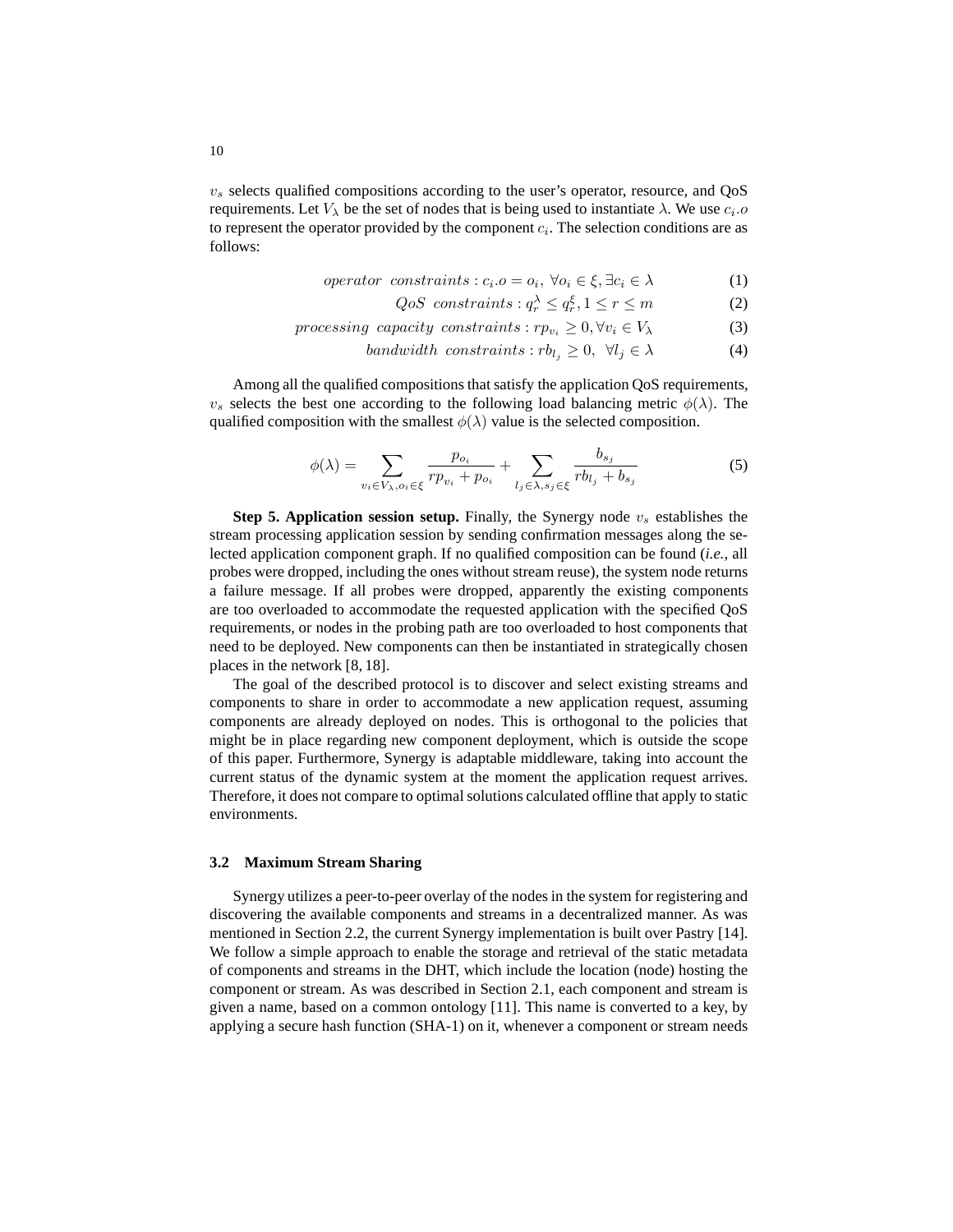$v<sub>s</sub>$  selects qualified compositions according to the user's operator, resource, and QoS requirements. Let  $V_{\lambda}$  be the set of nodes that is being used to instantiate  $\lambda$ . We use  $c_i.o$ to represent the operator provided by the component  $c_i$ . The selection conditions are as follows:

$$
operator constraints: c_i.o = o_i, \forall o_i \in \xi, \exists c_i \in \lambda \tag{1}
$$

$$
QoS\ constraints: q_r^{\lambda} \le q_r^{\xi}, 1 \le r \le m \tag{2}
$$

*processing capacity constraints*: 
$$
rp_{v_i} \geq 0, \forall v_i \in V_\lambda
$$
 (3)

bandwidth constraints :  $rb_{l_j} \geq 0$ ,  $\forall l_j \in \lambda$  (4)

Among all the qualified compositions that satisfy the application QoS requirements,  $v_s$  selects the best one according to the following load balancing metric  $\phi(\lambda)$ . The qualified composition with the smallest  $\phi(\lambda)$  value is the selected composition.

$$
\phi(\lambda) = \sum_{v_i \in V_{\lambda}, o_i \in \xi} \frac{p_{o_i}}{rp_{v_i} + p_{o_i}} + \sum_{l_j \in \lambda, s_j \in \xi} \frac{b_{s_j}}{rb_{l_j} + b_{s_j}}
$$
(5)

**Step 5. Application session setup.** Finally, the Synergy node  $v_s$  establishes the stream processing application session by sending confirmation messages along the selected application component graph. If no qualified composition can be found (*i.e.*, all probes were dropped, including the ones without stream reuse), the system node returns a failure message. If all probes were dropped, apparently the existing components are too overloaded to accommodate the requested application with the specified QoS requirements, or nodes in the probing path are too overloaded to host components that need to be deployed. New components can then be instantiated in strategically chosen places in the network [8, 18].

The goal of the described protocol is to discover and select existing streams and components to share in order to accommodate a new application request, assuming components are already deployed on nodes. This is orthogonal to the policies that might be in place regarding new component deployment, which is outside the scope of this paper. Furthermore, Synergy is adaptable middleware, taking into account the current status of the dynamic system at the moment the application request arrives. Therefore, it does not compare to optimal solutions calculated offline that apply to static environments.

#### **3.2 Maximum Stream Sharing**

Synergy utilizes a peer-to-peer overlay of the nodes in the system for registering and discovering the available components and streams in a decentralized manner. As was mentioned in Section 2.2, the current Synergy implementation is built over Pastry [14]. We follow a simple approach to enable the storage and retrieval of the static metadata of components and streams in the DHT, which include the location (node) hosting the component or stream. As was described in Section 2.1, each component and stream is given a name, based on a common ontology [11]. This name is converted to a key, by applying a secure hash function (SHA-1) on it, whenever a component or stream needs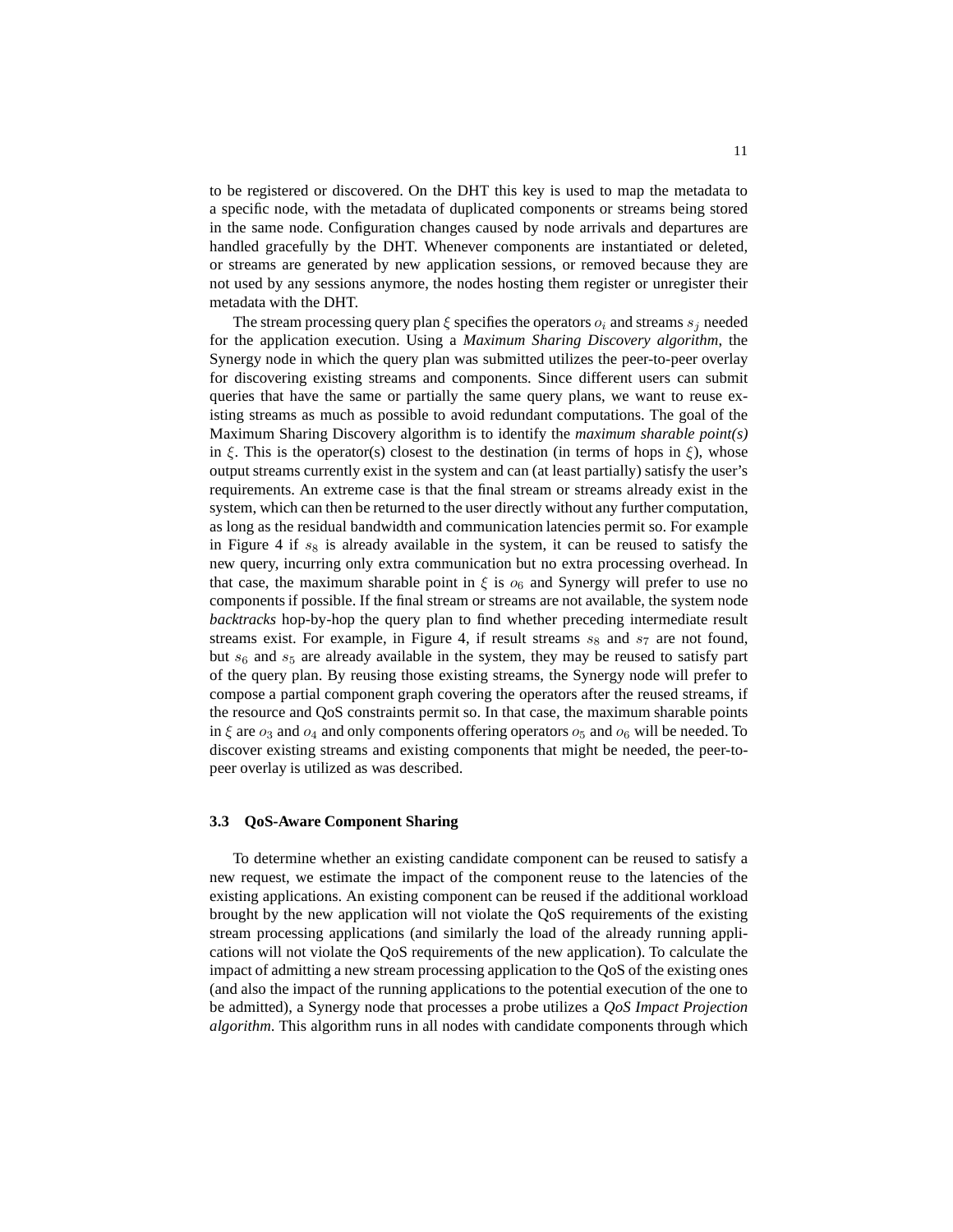to be registered or discovered. On the DHT this key is used to map the metadata to a specific node, with the metadata of duplicated components or streams being stored in the same node. Configuration changes caused by node arrivals and departures are handled gracefully by the DHT. Whenever components are instantiated or deleted, or streams are generated by new application sessions, or removed because they are not used by any sessions anymore, the nodes hosting them register or unregister their metadata with the DHT.

The stream processing query plan  $\xi$  specifies the operators  $o_i$  and streams  $s_i$  needed for the application execution. Using a *Maximum Sharing Discovery algorithm*, the Synergy node in which the query plan was submitted utilizes the peer-to-peer overlay for discovering existing streams and components. Since different users can submit queries that have the same or partially the same query plans, we want to reuse existing streams as much as possible to avoid redundant computations. The goal of the Maximum Sharing Discovery algorithm is to identify the *maximum sharable point(s)* in ξ. This is the operator(s) closest to the destination (in terms of hops in ξ), whose output streams currently exist in the system and can (at least partially) satisfy the user's requirements. An extreme case is that the final stream or streams already exist in the system, which can then be returned to the user directly without any further computation, as long as the residual bandwidth and communication latencies permit so. For example in Figure 4 if  $s_8$  is already available in the system, it can be reused to satisfy the new query, incurring only extra communication but no extra processing overhead. In that case, the maximum sharable point in  $\xi$  is  $o_6$  and Synergy will prefer to use no components if possible. If the final stream or streams are not available, the system node *backtracks* hop-by-hop the query plan to find whether preceding intermediate result streams exist. For example, in Figure 4, if result streams  $s_8$  and  $s_7$  are not found, but  $s_6$  and  $s_5$  are already available in the system, they may be reused to satisfy part of the query plan. By reusing those existing streams, the Synergy node will prefer to compose a partial component graph covering the operators after the reused streams, if the resource and QoS constraints permit so. In that case, the maximum sharable points in  $\xi$  are  $o_3$  and  $o_4$  and only components offering operators  $o_5$  and  $o_6$  will be needed. To discover existing streams and existing components that might be needed, the peer-topeer overlay is utilized as was described.

## **3.3 QoS-Aware Component Sharing**

To determine whether an existing candidate component can be reused to satisfy a new request, we estimate the impact of the component reuse to the latencies of the existing applications. An existing component can be reused if the additional workload brought by the new application will not violate the QoS requirements of the existing stream processing applications (and similarly the load of the already running applications will not violate the QoS requirements of the new application). To calculate the impact of admitting a new stream processing application to the QoS of the existing ones (and also the impact of the running applications to the potential execution of the one to be admitted), a Synergy node that processes a probe utilizes a *QoS Impact Projection algorithm*. This algorithm runs in all nodes with candidate components through which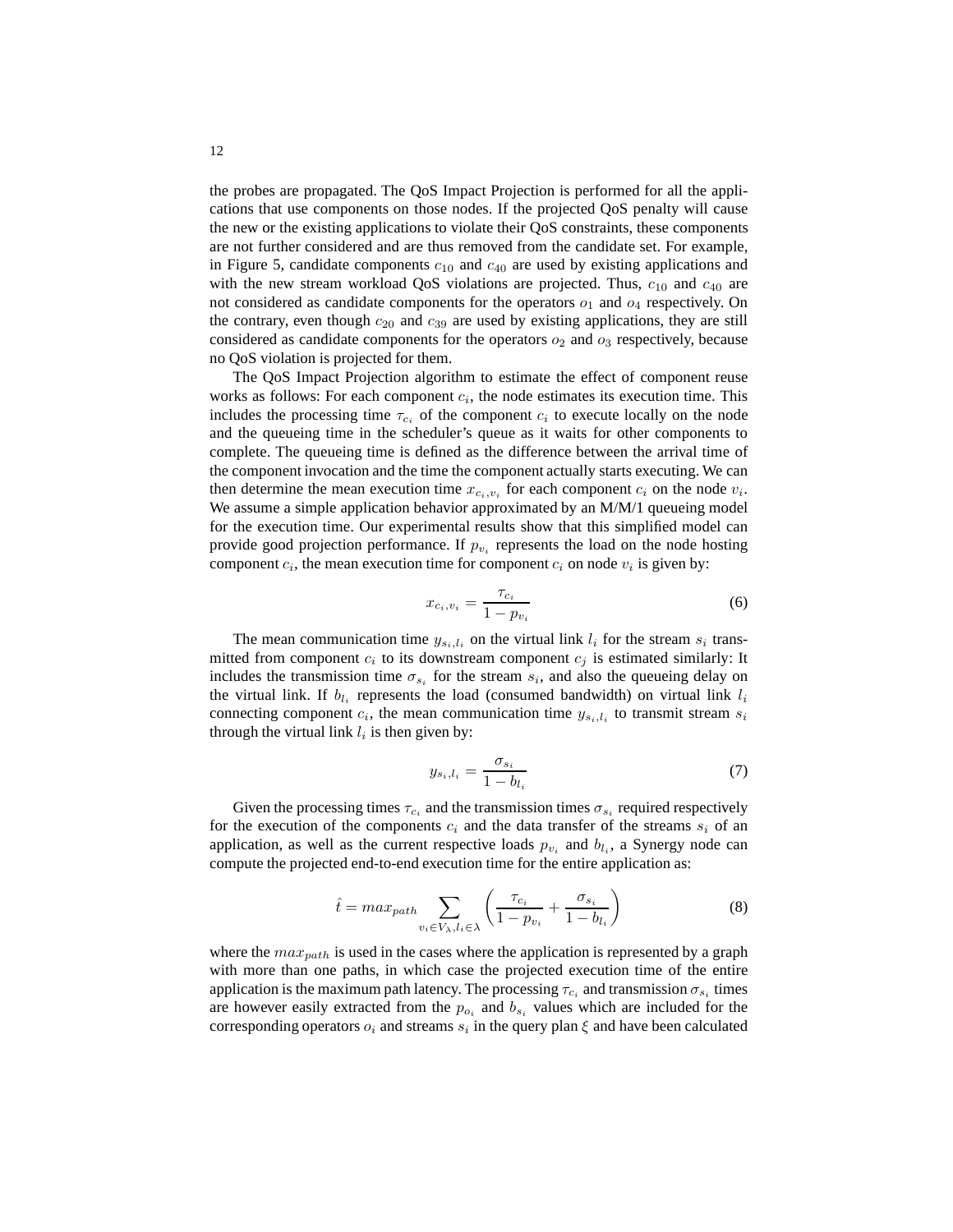the probes are propagated. The QoS Impact Projection is performed for all the applications that use components on those nodes. If the projected QoS penalty will cause the new or the existing applications to violate their QoS constraints, these components are not further considered and are thus removed from the candidate set. For example, in Figure 5, candidate components  $c_{10}$  and  $c_{40}$  are used by existing applications and with the new stream workload QoS violations are projected. Thus,  $c_{10}$  and  $c_{40}$  are not considered as candidate components for the operators  $o_1$  and  $o_4$  respectively. On the contrary, even though  $c_{20}$  and  $c_{39}$  are used by existing applications, they are still considered as candidate components for the operators  $o_2$  and  $o_3$  respectively, because no QoS violation is projected for them.

The QoS Impact Projection algorithm to estimate the effect of component reuse works as follows: For each component  $c_i$ , the node estimates its execution time. This includes the processing time  $\tau_{c_i}$  of the component  $c_i$  to execute locally on the node and the queueing time in the scheduler's queue as it waits for other components to complete. The queueing time is defined as the difference between the arrival time of the component invocation and the time the component actually starts executing. We can then determine the mean execution time  $x_{c_i, v_i}$  for each component  $c_i$  on the node  $v_i$ . We assume a simple application behavior approximated by an M/M/1 queueing model for the execution time. Our experimental results show that this simplified model can provide good projection performance. If  $p_{v_i}$  represents the load on the node hosting component  $c_i$ , the mean execution time for component  $c_i$  on node  $v_i$  is given by:

$$
x_{c_i, v_i} = \frac{\tau_{c_i}}{1 - p_{v_i}}\tag{6}
$$

The mean communication time  $y_{s_i,l_i}$  on the virtual link  $l_i$  for the stream  $s_i$  transmitted from component  $c_i$  to its downstream component  $c_j$  is estimated similarly: It includes the transmission time  $\sigma_{s_i}$  for the stream  $s_i$ , and also the queueing delay on the virtual link. If  $b_{l_i}$  represents the load (consumed bandwidth) on virtual link  $l_i$ connecting component  $c_i$ , the mean communication time  $y_{s_i,l_i}$  to transmit stream  $s_i$ through the virtual link  $l_i$  is then given by:

$$
y_{s_i,l_i} = \frac{\sigma_{s_i}}{1 - b_{l_i}}\tag{7}
$$

Given the processing times  $\tau_{c_i}$  and the transmission times  $\sigma_{s_i}$  required respectively for the execution of the components  $c_i$  and the data transfer of the streams  $s_i$  of an application, as well as the current respective loads  $p_{v_i}$  and  $b_{l_i}$ , a Synergy node can compute the projected end-to-end execution time for the entire application as:

$$
\hat{t} = max_{path} \sum_{v_i \in V_{\lambda}, l_i \in \lambda} \left( \frac{\tau_{c_i}}{1 - p_{v_i}} + \frac{\sigma_{s_i}}{1 - b_{l_i}} \right)
$$
(8)

where the  $max_{path}$  is used in the cases where the application is represented by a graph with more than one paths, in which case the projected execution time of the entire application is the maximum path latency. The processing  $\tau_{c_i}$  and transmission  $\sigma_{s_i}$  times are however easily extracted from the  $p_{o_i}$  and  $b_{s_i}$  values which are included for the corresponding operators  $o_i$  and streams  $s_i$  in the query plan  $\xi$  and have been calculated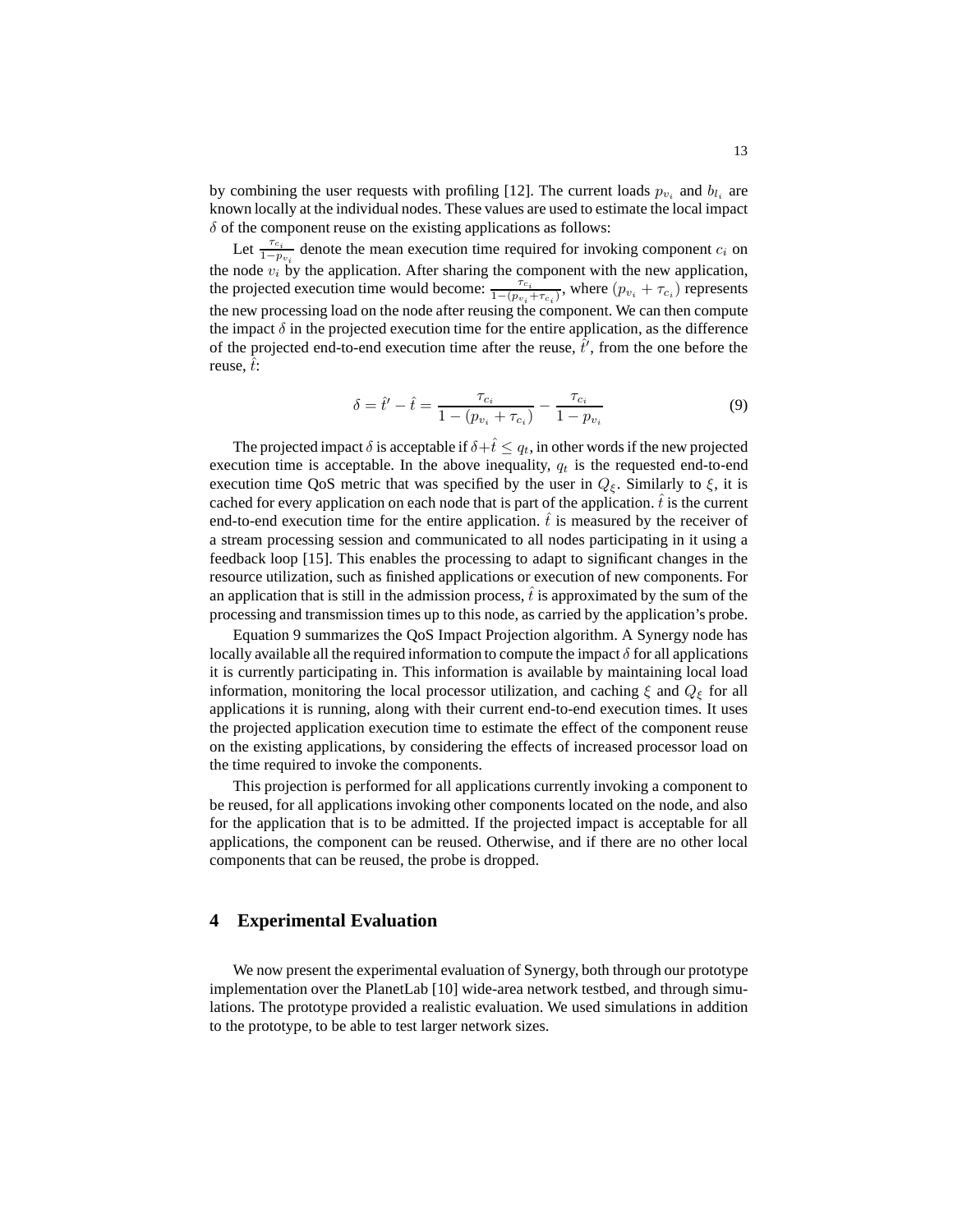by combining the user requests with profiling [12]. The current loads  $p_{v_i}$  and  $b_{l_i}$  are known locally at the individual nodes. These values are used to estimate the local impact  $\delta$  of the component reuse on the existing applications as follows:

Let  $\frac{\tau_{c_i}}{1-p_{v_i}}$  denote the mean execution time required for invoking component  $c_i$  on the node  $v_i$  by the application. After sharing the component with the new application, the projected execution time would become:  $\frac{\tau_{c_i}}{1-(p_{v_i}+\tau_{c_i})}$ , where  $(p_{v_i}+\tau_{c_i})$  represents the new processing load on the node after reusing the component. We can then compute the impact  $\delta$  in the projected execution time for the entire application, as the difference of the projected end-to-end execution time after the reuse,  $\hat{t}'$ , from the one before the reuse,  $\hat{t}$ :

$$
\delta = \hat{t}' - \hat{t} = \frac{\tau_{c_i}}{1 - (p_{v_i} + \tau_{c_i})} - \frac{\tau_{c_i}}{1 - p_{v_i}} \tag{9}
$$

The projected impact  $\delta$  is acceptable if  $\delta + \hat{t} \leq q_t$ , in other words if the new projected execution time is acceptable. In the above inequality,  $q_t$  is the requested end-to-end execution time QoS metric that was specified by the user in  $Q_{\xi}$ . Similarly to  $\xi$ , it is cached for every application on each node that is part of the application.  $\hat{t}$  is the current end-to-end execution time for the entire application.  $\hat{t}$  is measured by the receiver of a stream processing session and communicated to all nodes participating in it using a feedback loop [15]. This enables the processing to adapt to significant changes in the resource utilization, such as finished applications or execution of new components. For an application that is still in the admission process,  $t_i$  is approximated by the sum of the processing and transmission times up to this node, as carried by the application's probe.

Equation 9 summarizes the QoS Impact Projection algorithm. A Synergy node has locally available all the required information to compute the impact  $\delta$  for all applications it is currently participating in. This information is available by maintaining local load information, monitoring the local processor utilization, and caching  $\xi$  and  $Q_{\xi}$  for all applications it is running, along with their current end-to-end execution times. It uses the projected application execution time to estimate the effect of the component reuse on the existing applications, by considering the effects of increased processor load on the time required to invoke the components.

This projection is performed for all applications currently invoking a component to be reused, for all applications invoking other components located on the node, and also for the application that is to be admitted. If the projected impact is acceptable for all applications, the component can be reused. Otherwise, and if there are no other local components that can be reused, the probe is dropped.

# **4 Experimental Evaluation**

We now present the experimental evaluation of Synergy, both through our prototype implementation over the PlanetLab [10] wide-area network testbed, and through simulations. The prototype provided a realistic evaluation. We used simulations in addition to the prototype, to be able to test larger network sizes.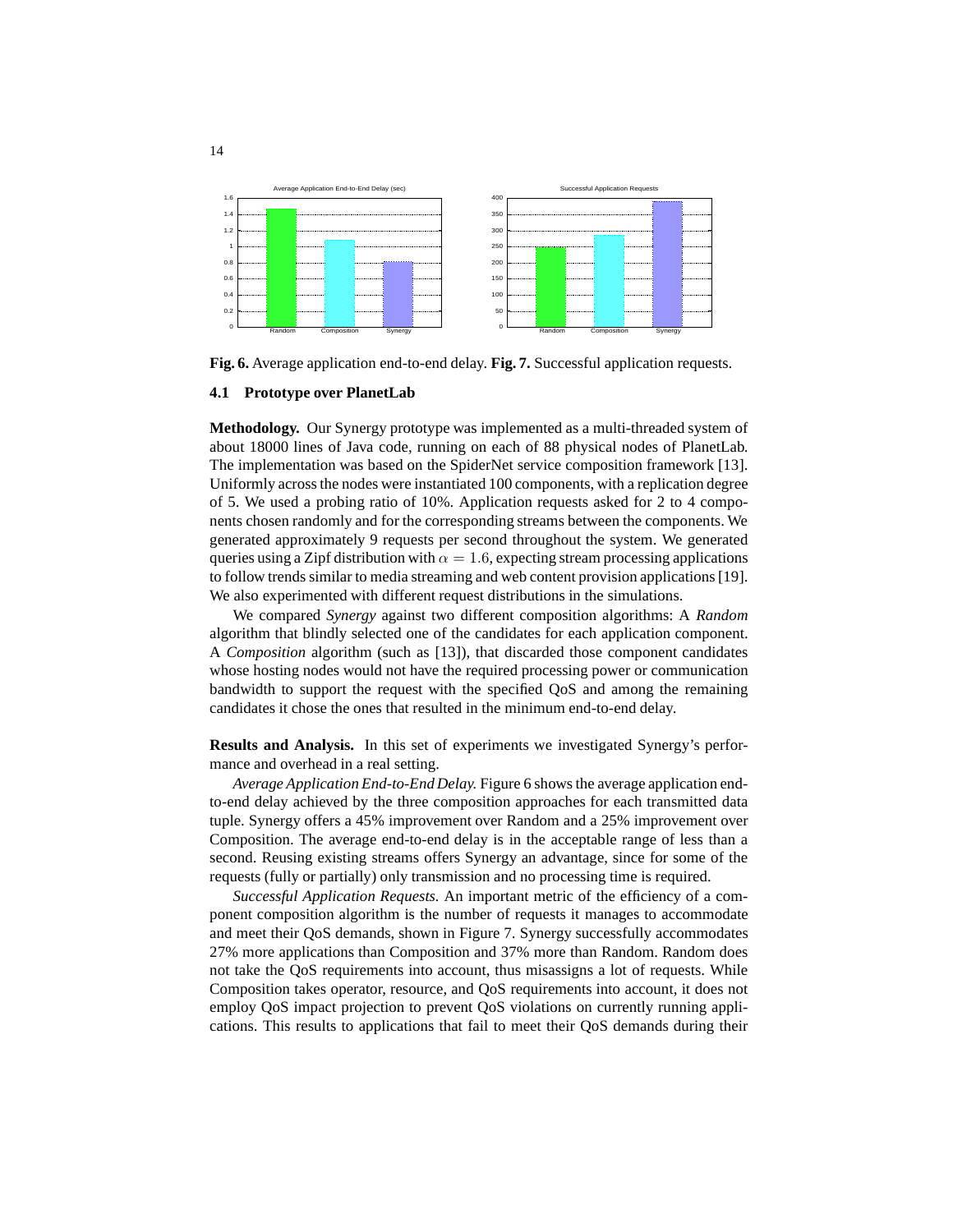

**Fig. 6.** Average application end-to-end delay. **Fig. 7.** Successful application requests.

## **4.1 Prototype over PlanetLab**

**Methodology.** Our Synergy prototype was implemented as a multi-threaded system of about 18000 lines of Java code, running on each of 88 physical nodes of PlanetLab. The implementation was based on the SpiderNet service composition framework [13]. Uniformly across the nodes were instantiated 100 components, with a replication degree of 5. We used a probing ratio of 10%. Application requests asked for 2 to 4 components chosen randomly and for the corresponding streams between the components. We generated approximately 9 requests per second throughout the system. We generated queries using a Zipf distribution with  $\alpha = 1.6$ , expecting stream processing applications to follow trends similar to media streaming and web content provision applications [19]. We also experimented with different request distributions in the simulations.

We compared *Synergy* against two different composition algorithms: A *Random* algorithm that blindly selected one of the candidates for each application component. A *Composition* algorithm (such as [13]), that discarded those component candidates whose hosting nodes would not have the required processing power or communication bandwidth to support the request with the specified QoS and among the remaining candidates it chose the ones that resulted in the minimum end-to-end delay.

**Results and Analysis.** In this set of experiments we investigated Synergy's performance and overhead in a real setting.

*Average Application End-to-End Delay.* Figure 6 shows the average application endto-end delay achieved by the three composition approaches for each transmitted data tuple. Synergy offers a 45% improvement over Random and a 25% improvement over Composition. The average end-to-end delay is in the acceptable range of less than a second. Reusing existing streams offers Synergy an advantage, since for some of the requests (fully or partially) only transmission and no processing time is required.

*Successful Application Requests.* An important metric of the efficiency of a component composition algorithm is the number of requests it manages to accommodate and meet their QoS demands, shown in Figure 7. Synergy successfully accommodates 27% more applications than Composition and 37% more than Random. Random does not take the QoS requirements into account, thus misassigns a lot of requests. While Composition takes operator, resource, and QoS requirements into account, it does not employ QoS impact projection to prevent QoS violations on currently running applications. This results to applications that fail to meet their QoS demands during their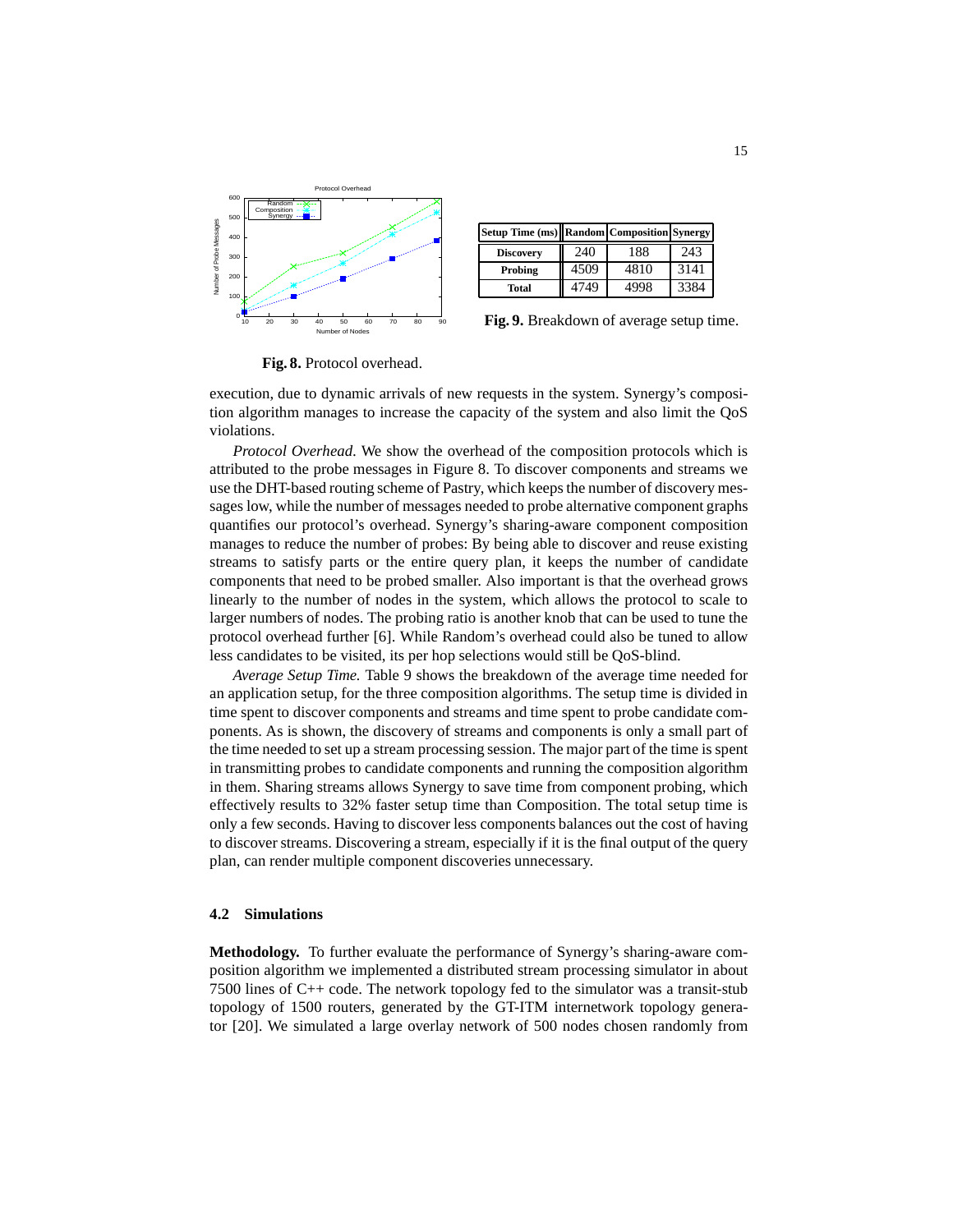

| <b>Setup Time (ms) Random Composition Synergy</b> |      |      |      |
|---------------------------------------------------|------|------|------|
| <b>Discovery</b>                                  | 240  | 188  | 243  |
| Probing                                           | 4509 | 4810 | 3141 |
| <b>Total</b>                                      | 4749 | 4998 | 3384 |

**Fig. 9.** Breakdown of average setup time.

**Fig. 8.** Protocol overhead.

execution, due to dynamic arrivals of new requests in the system. Synergy's composition algorithm manages to increase the capacity of the system and also limit the QoS violations.

*Protocol Overhead.* We show the overhead of the composition protocols which is attributed to the probe messages in Figure 8. To discover components and streams we use the DHT-based routing scheme of Pastry, which keeps the number of discovery messages low, while the number of messages needed to probe alternative component graphs quantifies our protocol's overhead. Synergy's sharing-aware component composition manages to reduce the number of probes: By being able to discover and reuse existing streams to satisfy parts or the entire query plan, it keeps the number of candidate components that need to be probed smaller. Also important is that the overhead grows linearly to the number of nodes in the system, which allows the protocol to scale to larger numbers of nodes. The probing ratio is another knob that can be used to tune the protocol overhead further [6]. While Random's overhead could also be tuned to allow less candidates to be visited, its per hop selections would still be QoS-blind.

*Average Setup Time.* Table 9 shows the breakdown of the average time needed for an application setup, for the three composition algorithms. The setup time is divided in time spent to discover components and streams and time spent to probe candidate components. As is shown, the discovery of streams and components is only a small part of the time needed to set up a stream processing session. The major part of the time is spent in transmitting probes to candidate components and running the composition algorithm in them. Sharing streams allows Synergy to save time from component probing, which effectively results to 32% faster setup time than Composition. The total setup time is only a few seconds. Having to discover less components balances out the cost of having to discover streams. Discovering a stream, especially if it is the final output of the query plan, can render multiple component discoveries unnecessary.

## **4.2 Simulations**

**Methodology.** To further evaluate the performance of Synergy's sharing-aware composition algorithm we implemented a distributed stream processing simulator in about 7500 lines of C++ code. The network topology fed to the simulator was a transit-stub topology of 1500 routers, generated by the GT-ITM internetwork topology generator [20]. We simulated a large overlay network of 500 nodes chosen randomly from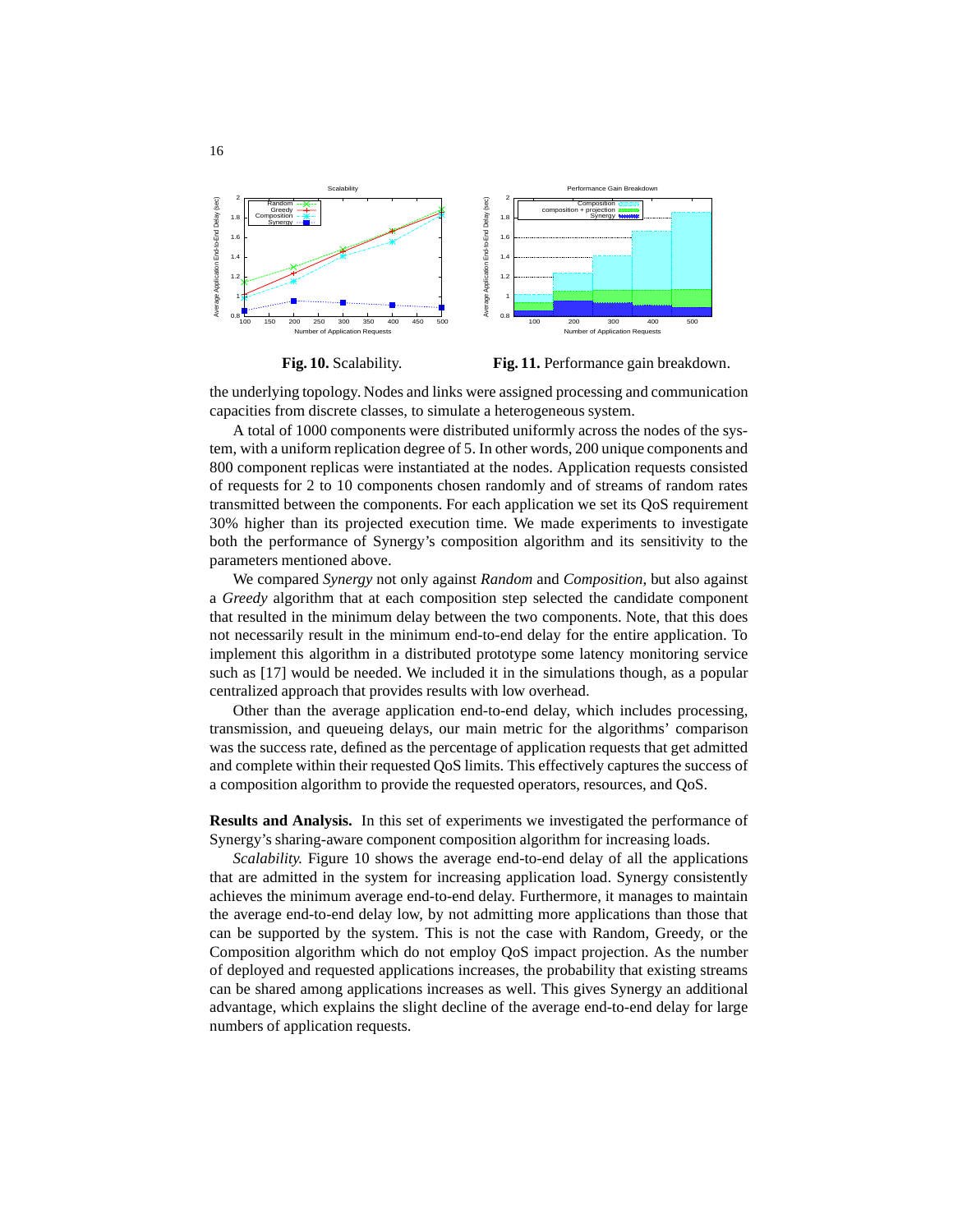

**Fig. 10.** Scalability.



the underlying topology. Nodes and links were assigned processing and communication capacities from discrete classes, to simulate a heterogeneous system.

A total of 1000 components were distributed uniformly across the nodes of the system, with a uniform replication degree of 5. In other words, 200 unique components and 800 component replicas were instantiated at the nodes. Application requests consisted of requests for 2 to 10 components chosen randomly and of streams of random rates transmitted between the components. For each application we set its QoS requirement 30% higher than its projected execution time. We made experiments to investigate both the performance of Synergy's composition algorithm and its sensitivity to the parameters mentioned above.

We compared *Synergy* not only against *Random* and *Composition*, but also against a *Greedy* algorithm that at each composition step selected the candidate component that resulted in the minimum delay between the two components. Note, that this does not necessarily result in the minimum end-to-end delay for the entire application. To implement this algorithm in a distributed prototype some latency monitoring service such as [17] would be needed. We included it in the simulations though, as a popular centralized approach that provides results with low overhead.

Other than the average application end-to-end delay, which includes processing, transmission, and queueing delays, our main metric for the algorithms' comparison was the success rate, defined as the percentage of application requests that get admitted and complete within their requested QoS limits. This effectively captures the success of a composition algorithm to provide the requested operators, resources, and QoS.

**Results and Analysis.** In this set of experiments we investigated the performance of Synergy's sharing-aware component composition algorithm for increasing loads.

*Scalability.* Figure 10 shows the average end-to-end delay of all the applications that are admitted in the system for increasing application load. Synergy consistently achieves the minimum average end-to-end delay. Furthermore, it manages to maintain the average end-to-end delay low, by not admitting more applications than those that can be supported by the system. This is not the case with Random, Greedy, or the Composition algorithm which do not employ QoS impact projection. As the number of deployed and requested applications increases, the probability that existing streams can be shared among applications increases as well. This gives Synergy an additional advantage, which explains the slight decline of the average end-to-end delay for large numbers of application requests.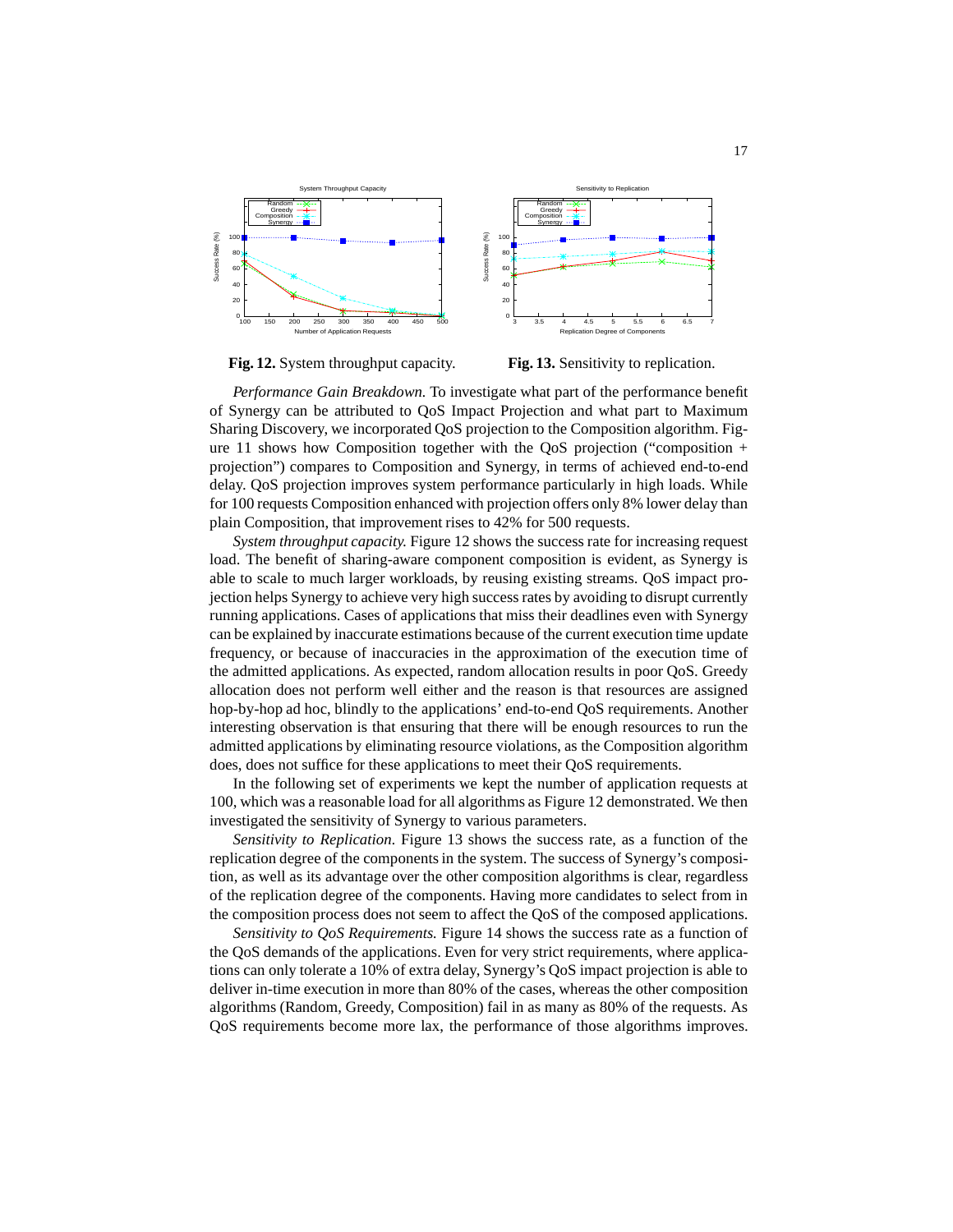

**Fig. 12.** System throughput capacity.

**Fig. 13.** Sensitivity to replication.

*Performance Gain Breakdown.* To investigate what part of the performance benefit of Synergy can be attributed to QoS Impact Projection and what part to Maximum Sharing Discovery, we incorporated QoS projection to the Composition algorithm. Figure 11 shows how Composition together with the OoS projection ("composition  $+$ projection") compares to Composition and Synergy, in terms of achieved end-to-end delay. QoS projection improves system performance particularly in high loads. While for 100 requests Composition enhanced with projection offers only 8% lower delay than plain Composition, that improvement rises to 42% for 500 requests.

*System throughput capacity.* Figure 12 shows the success rate for increasing request load. The benefit of sharing-aware component composition is evident, as Synergy is able to scale to much larger workloads, by reusing existing streams. QoS impact projection helps Synergy to achieve very high success rates by avoiding to disrupt currently running applications. Cases of applications that miss their deadlines even with Synergy can be explained by inaccurate estimations because of the current execution time update frequency, or because of inaccuracies in the approximation of the execution time of the admitted applications. As expected, random allocation results in poor QoS. Greedy allocation does not perform well either and the reason is that resources are assigned hop-by-hop ad hoc, blindly to the applications' end-to-end QoS requirements. Another interesting observation is that ensuring that there will be enough resources to run the admitted applications by eliminating resource violations, as the Composition algorithm does, does not suffice for these applications to meet their QoS requirements.

In the following set of experiments we kept the number of application requests at 100, which was a reasonable load for all algorithms as Figure 12 demonstrated. We then investigated the sensitivity of Synergy to various parameters.

*Sensitivity to Replication.* Figure 13 shows the success rate, as a function of the replication degree of the components in the system. The success of Synergy's composition, as well as its advantage over the other composition algorithms is clear, regardless of the replication degree of the components. Having more candidates to select from in the composition process does not seem to affect the QoS of the composed applications.

*Sensitivity to QoS Requirements.* Figure 14 shows the success rate as a function of the QoS demands of the applications. Even for very strict requirements, where applications can only tolerate a 10% of extra delay, Synergy's QoS impact projection is able to deliver in-time execution in more than 80% of the cases, whereas the other composition algorithms (Random, Greedy, Composition) fail in as many as 80% of the requests. As QoS requirements become more lax, the performance of those algorithms improves.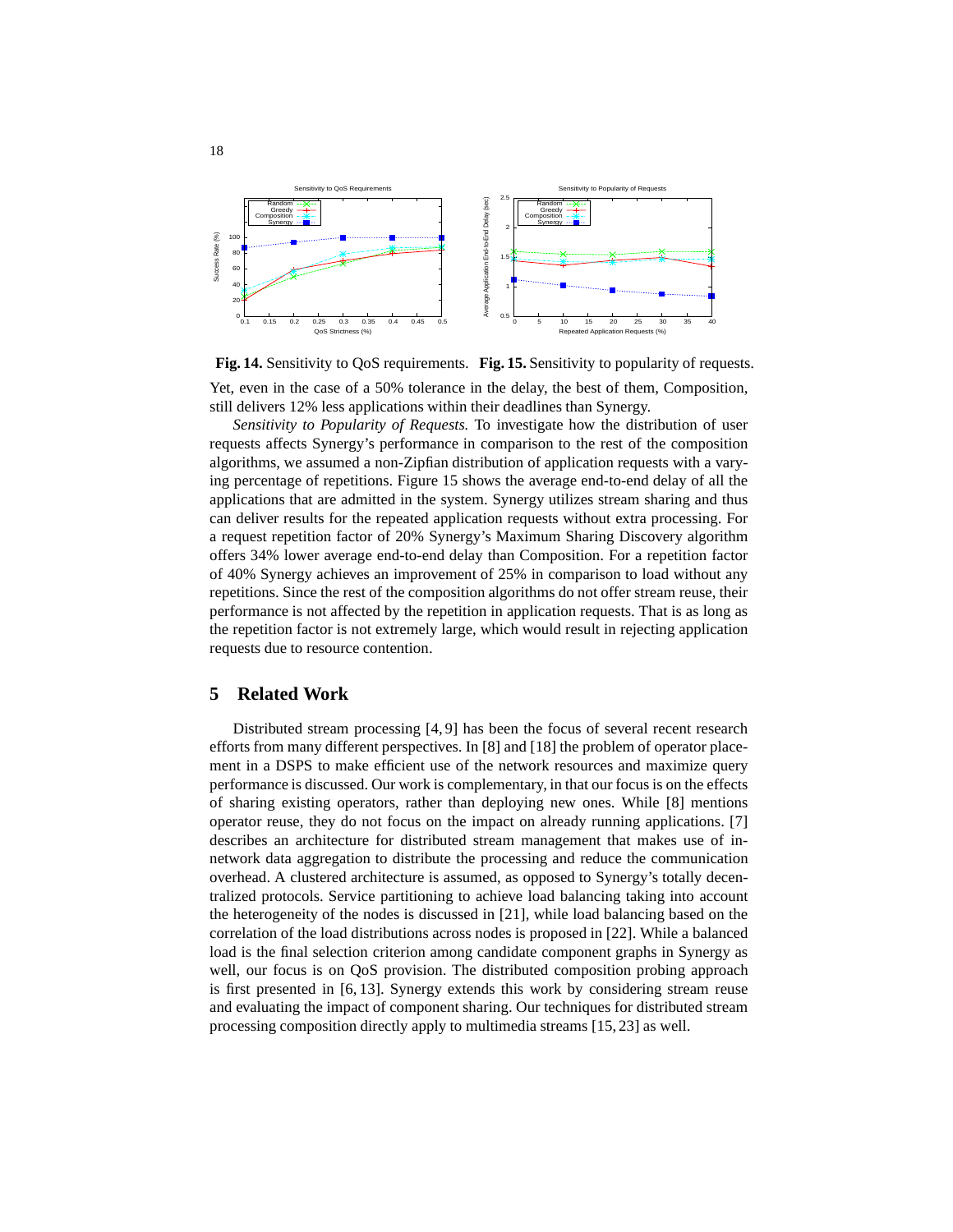

**Fig. 14.** Sensitivity to QoS requirements. **Fig. 15.** Sensitivity to popularity of requests. Yet, even in the case of a 50% tolerance in the delay, the best of them, Composition, still delivers 12% less applications within their deadlines than Synergy.

*Sensitivity to Popularity of Requests.* To investigate how the distribution of user requests affects Synergy's performance in comparison to the rest of the composition algorithms, we assumed a non-Zipfian distribution of application requests with a varying percentage of repetitions. Figure 15 shows the average end-to-end delay of all the applications that are admitted in the system. Synergy utilizes stream sharing and thus can deliver results for the repeated application requests without extra processing. For a request repetition factor of 20% Synergy's Maximum Sharing Discovery algorithm offers 34% lower average end-to-end delay than Composition. For a repetition factor of 40% Synergy achieves an improvement of 25% in comparison to load without any repetitions. Since the rest of the composition algorithms do not offer stream reuse, their performance is not affected by the repetition in application requests. That is as long as the repetition factor is not extremely large, which would result in rejecting application requests due to resource contention.

# **5 Related Work**

Distributed stream processing [4, 9] has been the focus of several recent research efforts from many different perspectives. In [8] and [18] the problem of operator placement in a DSPS to make efficient use of the network resources and maximize query performance is discussed. Our work is complementary, in that our focus is on the effects of sharing existing operators, rather than deploying new ones. While [8] mentions operator reuse, they do not focus on the impact on already running applications. [7] describes an architecture for distributed stream management that makes use of innetwork data aggregation to distribute the processing and reduce the communication overhead. A clustered architecture is assumed, as opposed to Synergy's totally decentralized protocols. Service partitioning to achieve load balancing taking into account the heterogeneity of the nodes is discussed in [21], while load balancing based on the correlation of the load distributions across nodes is proposed in [22]. While a balanced load is the final selection criterion among candidate component graphs in Synergy as well, our focus is on QoS provision. The distributed composition probing approach is first presented in [6, 13]. Synergy extends this work by considering stream reuse and evaluating the impact of component sharing. Our techniques for distributed stream processing composition directly apply to multimedia streams [15, 23] as well.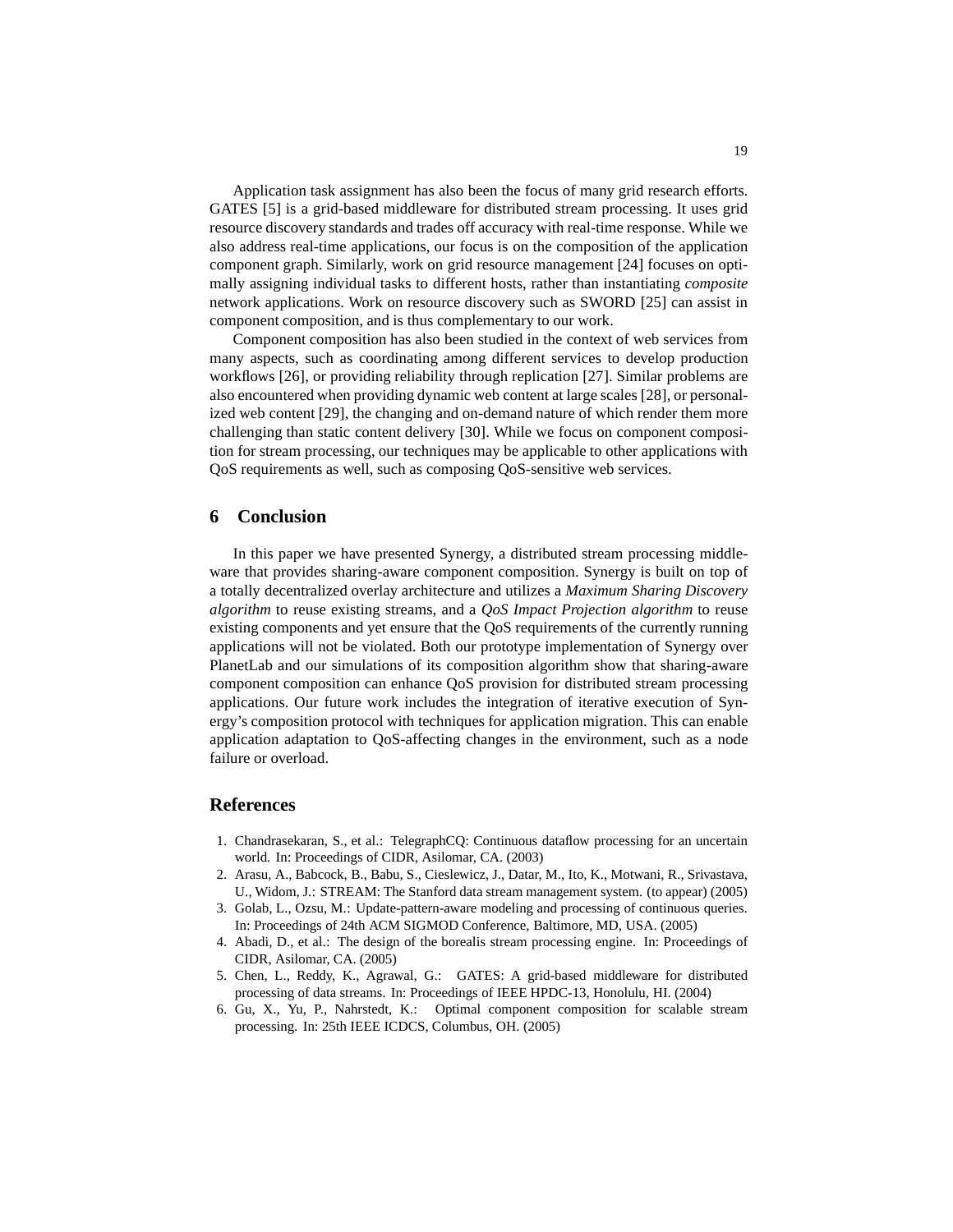Application task assignment has also been the focus of many grid research efforts. GATES [5] is a grid-based middleware for distributed stream processing. It uses grid resource discovery standards and trades off accuracy with real-time response. While we also address real-time applications, our focus is on the composition of the application component graph. Similarly, work on grid resource management [24] focuses on optimally assigning individual tasks to different hosts, rather than instantiating *composite* network applications. Work on resource discovery such as SWORD [25] can assist in component composition, and is thus complementary to our work.

Component composition has also been studied in the context of web services from many aspects, such as coordinating among different services to develop production workflows [26], or providing reliability through replication [27]. Similar problems are also encountered when providing dynamic web content at large scales [28], or personalized web content [29], the changing and on-demand nature of which render them more challenging than static content delivery [30]. While we focus on component composition for stream processing, our techniques may be applicable to other applications with QoS requirements as well, such as composing QoS-sensitive web services.

# **6 Conclusion**

In this paper we have presented Synergy, a distributed stream processing middleware that provides sharing-aware component composition. Synergy is built on top of a totally decentralized overlay architecture and utilizes a *Maximum Sharing Discovery algorithm* to reuse existing streams, and a *QoS Impact Projection algorithm* to reuse existing components and yet ensure that the QoS requirements of the currently running applications will not be violated. Both our prototype implementation of Synergy over PlanetLab and our simulations of its composition algorithm show that sharing-aware component composition can enhance QoS provision for distributed stream processing applications. Our future work includes the integration of iterative execution of Synergy's composition protocol with techniques for application migration. This can enable application adaptation to QoS-affecting changes in the environment, such as a node failure or overload.

# **References**

- 1. Chandrasekaran, S., et al.: TelegraphCQ: Continuous dataflow processing for an uncertain world. In: Proceedings of CIDR, Asilomar, CA. (2003)
- 2. Arasu, A., Babcock, B., Babu, S., Cieslewicz, J., Datar, M., Ito, K., Motwani, R., Srivastava, U., Widom, J.: STREAM: The Stanford data stream management system. (to appear) (2005)
- 3. Golab, L., Ozsu, M.: Update-pattern-aware modeling and processing of continuous queries. In: Proceedings of 24th ACM SIGMOD Conference, Baltimore, MD, USA. (2005)
- 4. Abadi, D., et al.: The design of the borealis stream processing engine. In: Proceedings of CIDR, Asilomar, CA. (2005)
- 5. Chen, L., Reddy, K., Agrawal, G.: GATES: A grid-based middleware for distributed processing of data streams. In: Proceedings of IEEE HPDC-13, Honolulu, HI. (2004)
- 6. Gu, X., Yu, P., Nahrstedt, K.: Optimal component composition for scalable stream processing. In: 25th IEEE ICDCS, Columbus, OH. (2005)